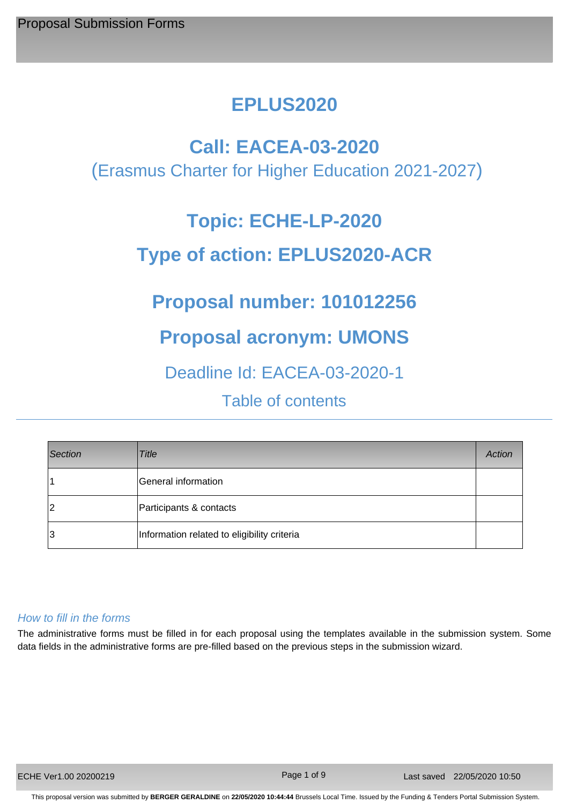# **EPLUS2020**

## **Call: EACEA-03-2020**

(Erasmus Charter for Higher Education 2021-2027)

# **Topic: ECHE-LP-2020**

# **Type of action: EPLUS2020-ACR**

# **Proposal number: 101012256**

# **Proposal acronym: UMONS**

## Deadline Id: EACEA-03-2020-1

Table of contents

| Section | Title                                       | Action |
|---------|---------------------------------------------|--------|
|         | General information                         |        |
| 2       | Participants & contacts                     |        |
| 3       | Information related to eligibility criteria |        |

## *How to fill in the forms*

The administrative forms must be filled in for each proposal using the templates available in the submission system. Some data fields in the administrative forms are pre-filled based on the previous steps in the submission wizard.

Page 1 of 9

This proposal version was submitted by **BERGER GERALDINE** on **22/05/2020 10:44:44** Brussels Local Time. Issued by the Funding & Tenders Portal Submission System.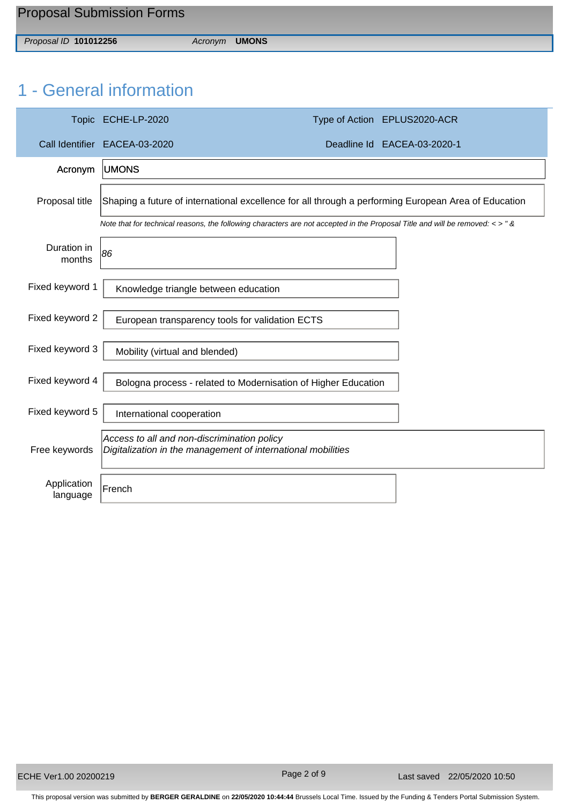*Proposal ID* **101012256** *Acronym* **UMONS**

# 1 - General information

|                         | Topic ECHE-LP-2020                                                                                                                    | Type of Action EPLUS2020-ACR |
|-------------------------|---------------------------------------------------------------------------------------------------------------------------------------|------------------------------|
|                         | Call Identifier EACEA-03-2020                                                                                                         | Deadline Id EACEA-03-2020-1  |
| Acronym                 | <b>UMONS</b>                                                                                                                          |                              |
| Proposal title          | Shaping a future of international excellence for all through a performing European Area of Education                                  |                              |
|                         | Note that for technical reasons, the following characters are not accepted in the Proposal Title and will be removed: $\langle$ > " & |                              |
| Duration in<br>months   | 86                                                                                                                                    |                              |
| Fixed keyword 1         | Knowledge triangle between education                                                                                                  |                              |
| Fixed keyword 2         | European transparency tools for validation ECTS                                                                                       |                              |
| Fixed keyword 3         | Mobility (virtual and blended)                                                                                                        |                              |
| Fixed keyword 4         | Bologna process - related to Modernisation of Higher Education                                                                        |                              |
| Fixed keyword 5         | International cooperation                                                                                                             |                              |
| Free keywords           | Access to all and non-discrimination policy<br>Digitalization in the management of international mobilities                           |                              |
| Application<br>language | French                                                                                                                                |                              |

Page 2 of 9

This proposal version was submitted by **BERGER GERALDINE** on **22/05/2020 10:44:44** Brussels Local Time. Issued by the Funding & Tenders Portal Submission System.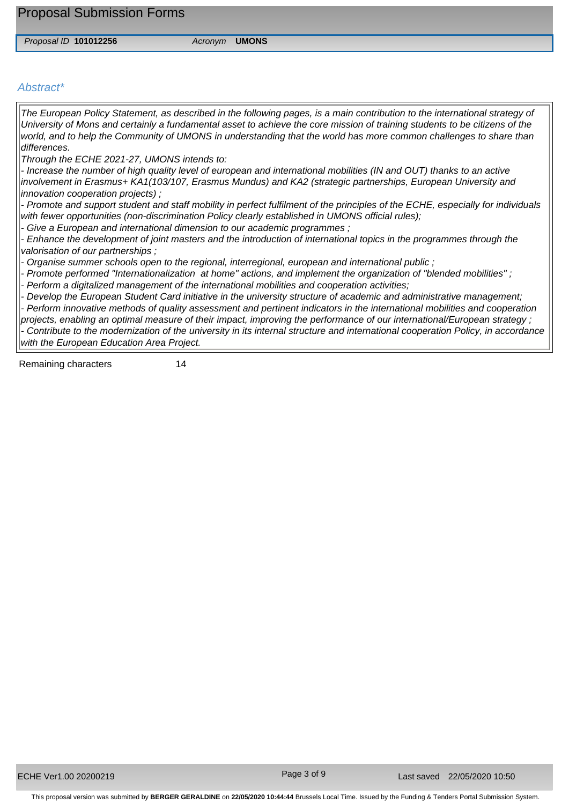Proposal Submission Forms

*Proposal ID* **101012256** *Acronym* **UMONS**

## *Abstract\**

*The European Policy Statement, as described in the following pages, is a main contribution to the international strategy of University of Mons and certainly a fundamental asset to achieve the core mission of training students to be citizens of the world, and to help the Community of UMONS in understanding that the world has more common challenges to share than differences.* 

*Through the ECHE 2021-27, UMONS intends to:* 

*- Increase the number of high quality level of european and international mobilities (IN and OUT) thanks to an active involvement in Erasmus+ KA1(103/107, Erasmus Mundus) and KA2 (strategic partnerships, European University and innovation cooperation projects) ;* 

*- Promote and support student and staff mobility in perfect fulfilment of the principles of the ECHE, especially for individuals with fewer opportunities (non-discrimination Policy clearly established in UMONS official rules);* 

*- Give a European and international dimension to our academic programmes ;* 

*- Enhance the development of joint masters and the introduction of international topics in the programmes through the valorisation of our partnerships ;* 

*- Organise summer schools open to the regional, interregional, european and international public ;* 

- Promote performed "Internationalization at home" actions, and implement the organization of "blended mobilities";

*- Perform a digitalized management of the international mobilities and cooperation activities;* 

*- Develop the European Student Card initiative in the university structure of academic and administrative management;* 

*- Perform innovative methods of quality assessment and pertinent indicators in the international mobilities and cooperation projects, enabling an optimal measure of their impact, improving the performance of our international/European strategy ; - Contribute to the modernization of the university in its internal structure and international cooperation Policy, in accordance* 

*with the European Education Area Project.*

Remaining characters 14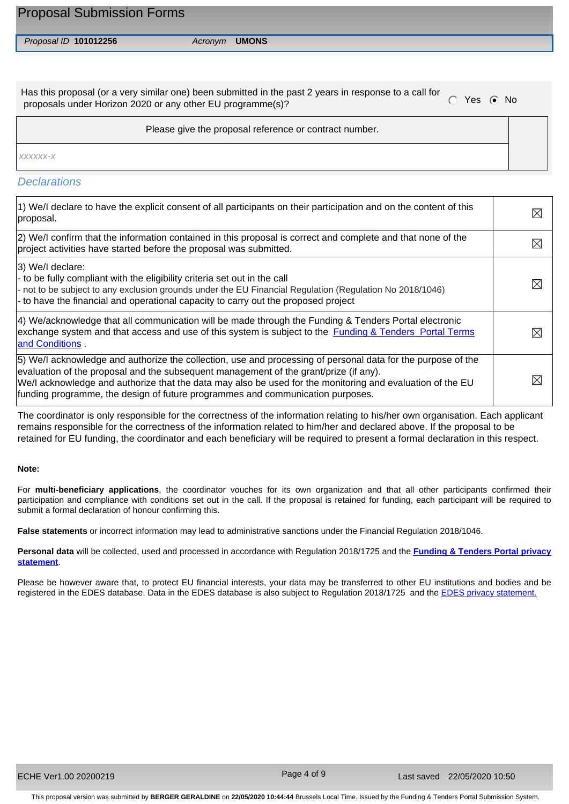*Proposal ID* **101012256** *Acronym* **UMONS**

Has this proposal (or a very similar one) been submitted in the past 2 years in response to a call for proposals under Horizon 2020 or any other EU programme(s)?

Please give the proposal reference or contract number.

*xxxxxx-x*

## *Declarations*

| 1) We/I declare to have the explicit consent of all participants on their participation and on the content of this<br>proposal.                                                                                                                                                                                                                                                                      |             |
|------------------------------------------------------------------------------------------------------------------------------------------------------------------------------------------------------------------------------------------------------------------------------------------------------------------------------------------------------------------------------------------------------|-------------|
| (2) We/I confirm that the information contained in this proposal is correct and complete and that none of the<br>project activities have started before the proposal was submitted.                                                                                                                                                                                                                  | $\boxtimes$ |
| $ 3)$ We/I declare:<br> - to be fully compliant with the eligibility criteria set out in the call<br>- not to be subject to any exclusion grounds under the EU Financial Regulation (Regulation No 2018/1046)<br>- to have the financial and operational capacity to carry out the proposed project                                                                                                  | ⋉           |
| 4) We/acknowledge that all communication will be made through the Funding & Tenders Portal electronic<br>exchange system and that access and use of this system is subject to the <b>Funding &amp; Tenders</b> Portal Terms<br>and Conditions.                                                                                                                                                       |             |
| 5) We/I acknowledge and authorize the collection, use and processing of personal data for the purpose of the<br>evaluation of the proposal and the subsequent management of the grant/prize (if any).<br>We/I acknowledge and authorize that the data may also be used for the monitoring and evaluation of the EU<br>funding programme, the design of future programmes and communication purposes. |             |

The coordinator is only responsible for the correctness of the information relating to his/her own organisation. Each applicant remains responsible for the correctness of the information related to him/her and declared above. If the proposal to be retained for EU funding, the coordinator and each beneficiary will be required to present a formal declaration in this respect.

## **Note:**

For **multi-beneficiary applications**, the coordinator vouches for its own organization and that all other participants confirmed their participation and compliance with conditions set out in the call. If the proposal is retained for funding, each participant will be required to submit a formal declaration of honour confirming this.

**False statements** or incorrect information may lead to administrative sanctions under the Financial Regulation 2018/1046.

**Personal data** will be collected, used and processed in accordance with Regulation 2018/1725 and the **[Funding & Tenders Portal privacy](https://ec.europa.eu/info/funding-tenders/opportunities/portal/screen/support/legalnotice)  [statement](https://ec.europa.eu/info/funding-tenders/opportunities/portal/screen/support/legalnotice)**.

Please be however aware that, to protect EU financial interests, your data may be transferred to other EU institutions and bodies and be registered in the EDES database. Data in the EDES database is also subject to Regulation 2018/1725 and the **EDES privacy statement**.

Page 4 of 9

This proposal version was submitted by **BERGER GERALDINE** on **22/05/2020 10:44:44** Brussels Local Time. Issued by the Funding & Tenders Portal Submission System.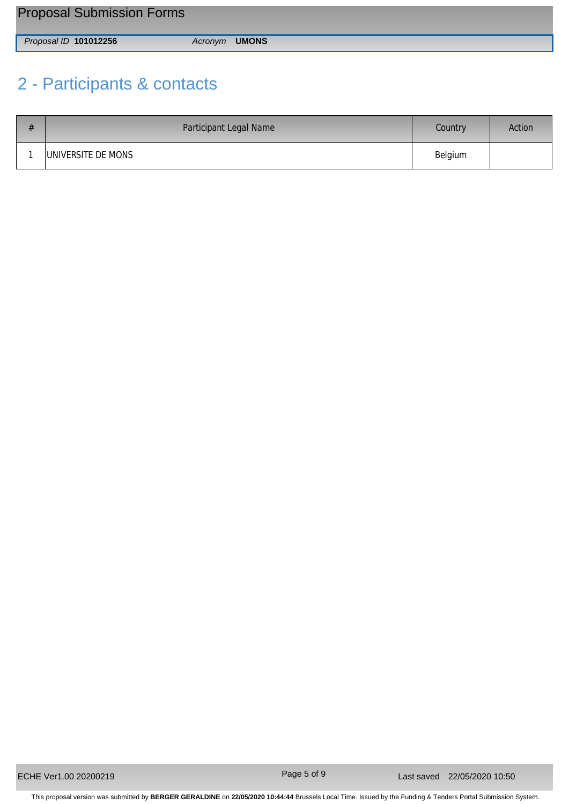| <b>Proposal Submission Forms</b> |                      |
|----------------------------------|----------------------|
| Proposal ID 101012256            | Acronym <b>UMONS</b> |

# 2 - Participants & contacts

| # | Participant Legal Name | Country | Action |
|---|------------------------|---------|--------|
|   | UNIVERSITE DE MONS     | Belgium |        |

Page 5 of 9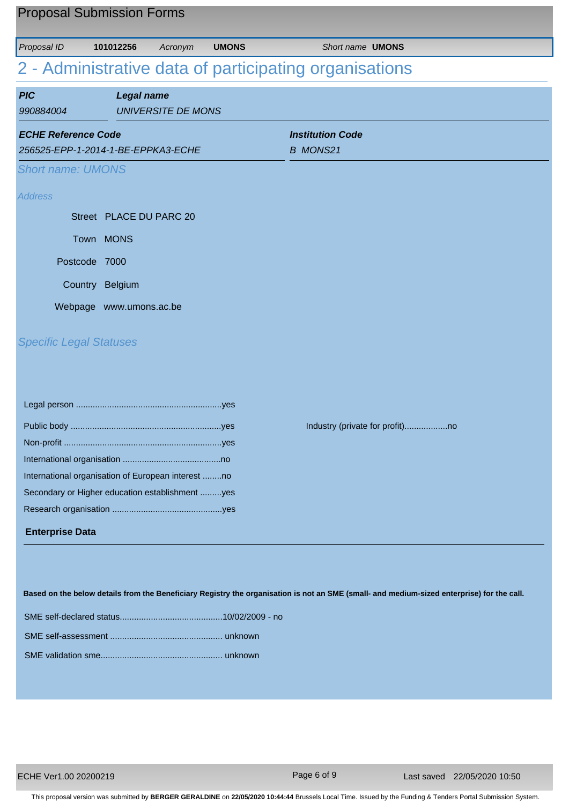| <b>Proposal Submission Forms</b> |                                                    |                           |              |                                                                                                                                            |
|----------------------------------|----------------------------------------------------|---------------------------|--------------|--------------------------------------------------------------------------------------------------------------------------------------------|
| Proposal ID                      | 101012256                                          | Acronym                   | <b>UMONS</b> | Short name <b>UMONS</b>                                                                                                                    |
|                                  |                                                    |                           |              | 2 - Administrative data of participating organisations                                                                                     |
|                                  |                                                    |                           |              |                                                                                                                                            |
| <b>PIC</b><br>990884004          | <b>Legal name</b>                                  | <b>UNIVERSITE DE MONS</b> |              |                                                                                                                                            |
| <b>ECHE Reference Code</b>       |                                                    |                           |              | <b>Institution Code</b>                                                                                                                    |
|                                  | 256525-EPP-1-2014-1-BE-EPPKA3-ECHE                 |                           |              | <b>B MONS21</b>                                                                                                                            |
| <b>Short name: UMONS</b>         |                                                    |                           |              |                                                                                                                                            |
| <b>Address</b>                   |                                                    |                           |              |                                                                                                                                            |
|                                  | Street PLACE DU PARC 20                            |                           |              |                                                                                                                                            |
|                                  | Town MONS                                          |                           |              |                                                                                                                                            |
|                                  | Postcode 7000                                      |                           |              |                                                                                                                                            |
|                                  | Country Belgium                                    |                           |              |                                                                                                                                            |
|                                  | Webpage www.umons.ac.be                            |                           |              |                                                                                                                                            |
| <b>Specific Legal Statuses</b>   |                                                    |                           |              |                                                                                                                                            |
|                                  |                                                    |                           |              |                                                                                                                                            |
|                                  |                                                    |                           |              |                                                                                                                                            |
|                                  |                                                    |                           |              |                                                                                                                                            |
|                                  | International organisation of European interest no |                           |              |                                                                                                                                            |
|                                  | Secondary or Higher education establishment yes    |                           |              |                                                                                                                                            |
|                                  |                                                    |                           |              |                                                                                                                                            |
| <b>Enterprise Data</b>           |                                                    |                           |              |                                                                                                                                            |
|                                  |                                                    |                           |              |                                                                                                                                            |
|                                  |                                                    |                           |              |                                                                                                                                            |
|                                  |                                                    |                           |              | Based on the below details from the Beneficiary Registry the organisation is not an SME (small- and medium-sized enterprise) for the call. |
|                                  |                                                    |                           |              |                                                                                                                                            |
|                                  |                                                    |                           |              |                                                                                                                                            |

Page 6 of 9

This proposal version was submitted by **BERGER GERALDINE** on **22/05/2020 10:44:44** Brussels Local Time. Issued by the Funding & Tenders Portal Submission System.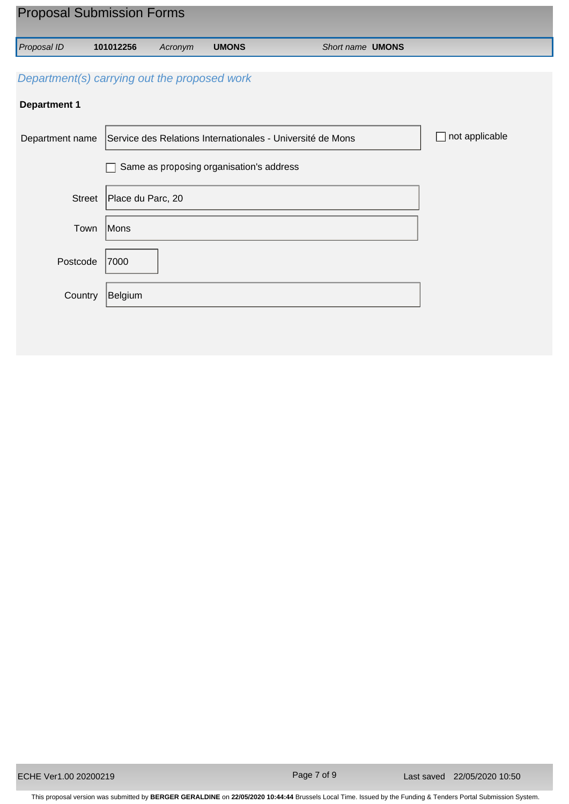| <b>Proposal Submission Forms</b>             |                   |         |                                          |                                                            |                      |
|----------------------------------------------|-------------------|---------|------------------------------------------|------------------------------------------------------------|----------------------|
| Proposal ID                                  | 101012256         | Acronym | <b>UMONS</b>                             | Short name <b>UMONS</b>                                    |                      |
| Department(s) carrying out the proposed work |                   |         |                                          |                                                            |                      |
| <b>Department 1</b>                          |                   |         |                                          |                                                            |                      |
| Department name                              |                   |         |                                          | Service des Relations Internationales - Université de Mons | not applicable<br>L. |
|                                              |                   |         | Same as proposing organisation's address |                                                            |                      |
| Street                                       | Place du Parc, 20 |         |                                          |                                                            |                      |
| Town                                         | Mons              |         |                                          |                                                            |                      |
| Postcode                                     | 7000              |         |                                          |                                                            |                      |
| Country                                      | Belgium           |         |                                          |                                                            |                      |
|                                              |                   |         |                                          |                                                            |                      |

Page 7 of 9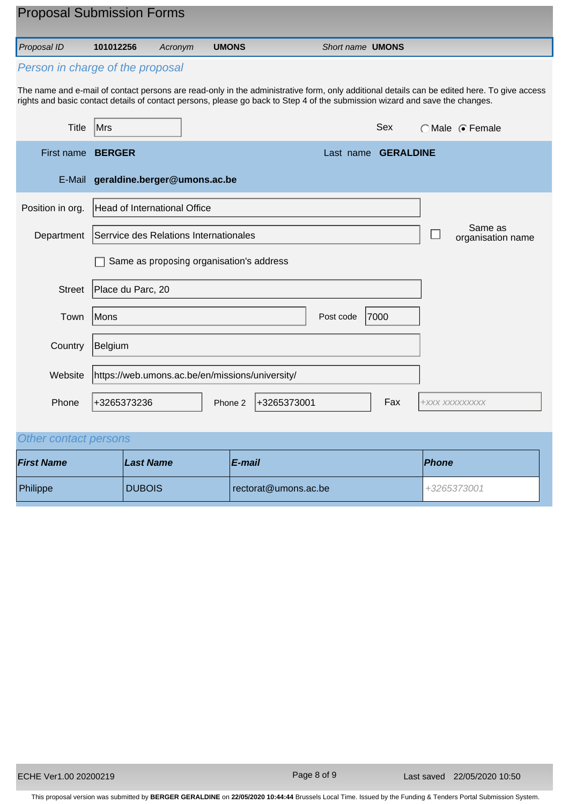| <b>Proposal Submission Forms</b>                                                                                             |                                                 |                                          |              |             |                         |                     |                |                                                                                                                                             |
|------------------------------------------------------------------------------------------------------------------------------|-------------------------------------------------|------------------------------------------|--------------|-------------|-------------------------|---------------------|----------------|---------------------------------------------------------------------------------------------------------------------------------------------|
| Proposal ID                                                                                                                  | 101012256                                       | Acronym                                  | <b>UMONS</b> |             | Short name <b>UMONS</b> |                     |                |                                                                                                                                             |
| Person in charge of the proposal                                                                                             |                                                 |                                          |              |             |                         |                     |                |                                                                                                                                             |
| rights and basic contact details of contact persons, please go back to Step 4 of the submission wizard and save the changes. |                                                 |                                          |              |             |                         |                     |                | The name and e-mail of contact persons are read-only in the administrative form, only additional details can be edited here. To give access |
| Title                                                                                                                        | Mrs                                             |                                          |              |             |                         | Sex                 |                | $\bigcap$ Male $\bigcirc$ Female                                                                                                            |
| First name                                                                                                                   | <b>BERGER</b>                                   |                                          |              |             |                         | Last name GERALDINE |                |                                                                                                                                             |
|                                                                                                                              | E-Mail geraldine.berger@umons.ac.be             |                                          |              |             |                         |                     |                |                                                                                                                                             |
| Position in org.                                                                                                             | <b>Head of International Office</b>             |                                          |              |             |                         |                     |                |                                                                                                                                             |
| Department                                                                                                                   | Serrvice des Relations Internationales          |                                          |              |             |                         |                     |                | Same as<br>organisation name                                                                                                                |
|                                                                                                                              |                                                 | Same as proposing organisation's address |              |             |                         |                     |                |                                                                                                                                             |
| <b>Street</b>                                                                                                                | Place du Parc, 20                               |                                          |              |             |                         |                     |                |                                                                                                                                             |
| Town                                                                                                                         | Mons                                            |                                          |              |             | Post code               | 7000                |                |                                                                                                                                             |
| Country                                                                                                                      | Belgium                                         |                                          |              |             |                         |                     |                |                                                                                                                                             |
| Website                                                                                                                      | https://web.umons.ac.be/en/missions/university/ |                                          |              |             |                         |                     |                |                                                                                                                                             |
| Phone                                                                                                                        | +3265373236                                     |                                          | Phone 2      | +3265373001 |                         | Fax                 | +XXX XXXXXXXXX |                                                                                                                                             |

## *Other contact persons*

| <b>First Name</b> | Last Name     | $E$ -mail            | <b>Phone</b> |
|-------------------|---------------|----------------------|--------------|
| Philippe          | <b>DUBOIS</b> | rectorat@umons.ac.be | +3265373001  |

Page 8 of 9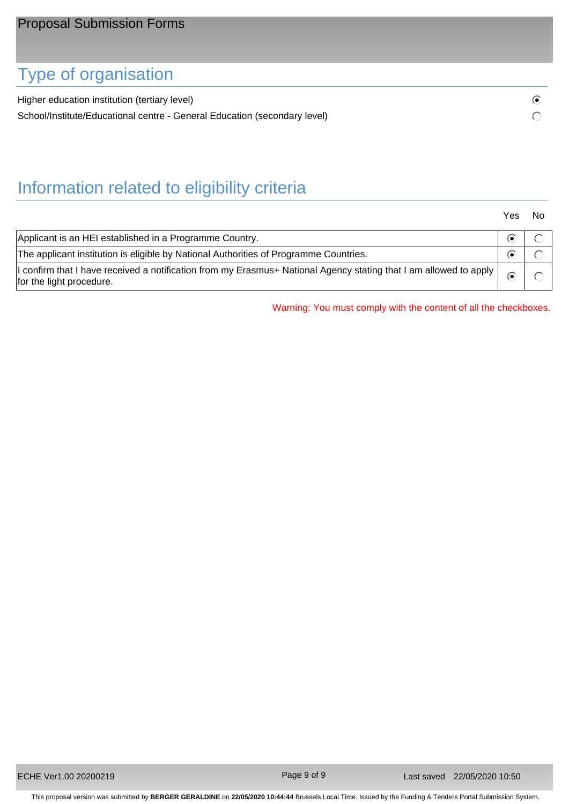# Type of organisation

Higher education institution (tertiary level) School/Institute/Educational centre - General Education (secondary level)

# Information related to eligibility criteria

Yes No

 $\odot$  $\bigcirc$ 

| Applicant is an HEI established in a Programme Country.                                                                                       |  |
|-----------------------------------------------------------------------------------------------------------------------------------------------|--|
| The applicant institution is eligible by National Authorities of Programme Countries.                                                         |  |
| I confirm that I have received a notification from my Erasmus+ National Agency stating that I am allowed to apply<br>for the light procedure. |  |

Warning: You must comply with the content of all the checkboxes.

Page 9 of 9

This proposal version was submitted by **BERGER GERALDINE** on **22/05/2020 10:44:44** Brussels Local Time. Issued by the Funding & Tenders Portal Submission System.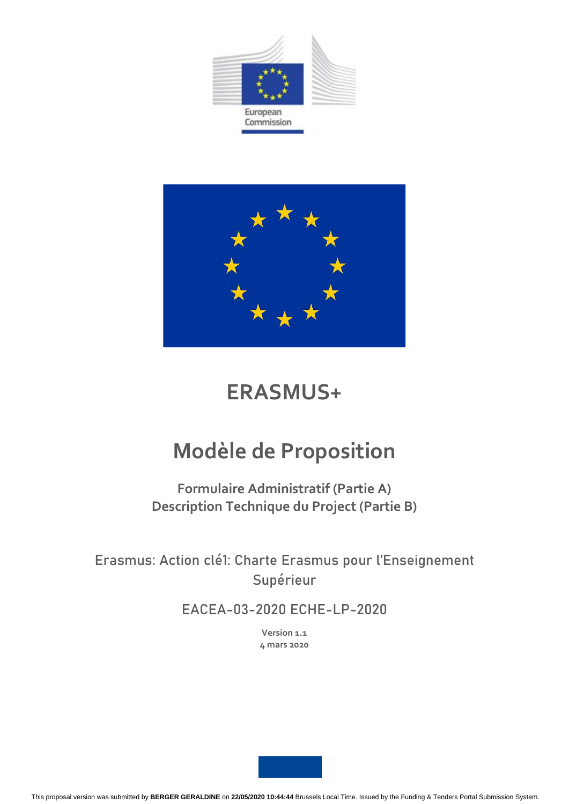



# **ERASMUS+**

# **Modèle de Proposition**

**Formulaire Administratif (Partie A) Description Technique du Project (Partie B)**

Erasmus: Action clé1: Charte Erasmus pour l'Enseignement Supérieur

EACEA-03-2020 ECHE-LP-2020

**Version 1.1 4 mars 2020**

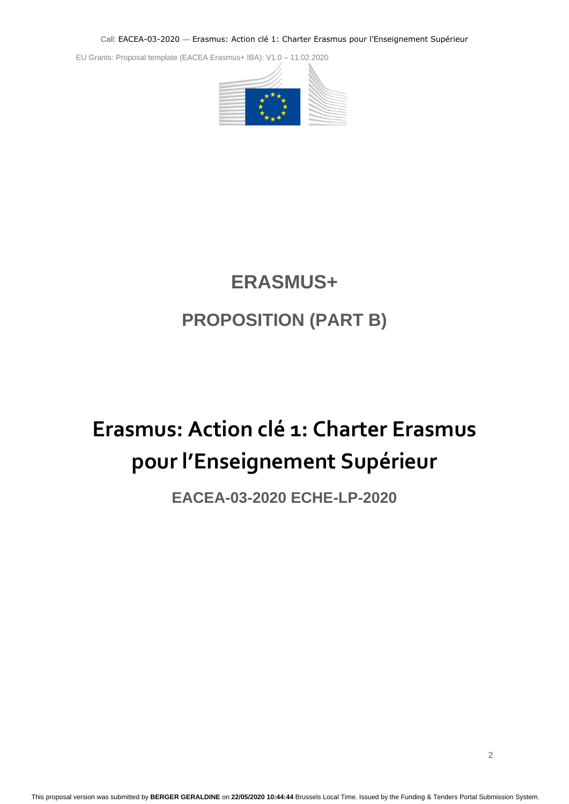EU Grants: Proposal template (EACEA Erasmus+ IBA): V1.0 – 11.02.2020



# **ERASMUS+ PROPOSITION (PART B)**

# <span id="page-10-0"></span>**Erasmus: Action clé 1: Charter Erasmus pour l'Enseignement Supérieur**

## **EACEA-03-2020 ECHE-LP-2020**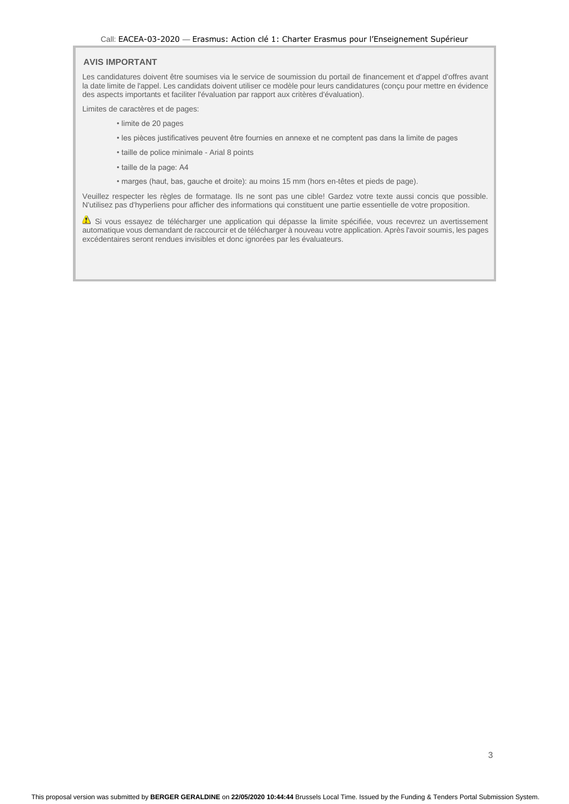## **EU GRANTS: PROPOSAL TEMPLATE (EACEA ERASMUS+ IBA): V1.02.2020**

Les candidatures doivent être soumises via le service de soumission du portail de financement et d'appel d'offres avant la date limite de l'appel. Les candidats doivent utiliser ce modèle pour leurs candidatures (conçu pour mettre en évidence des aspects importants et faciliter l'évaluation par rapport aux critères d'évaluation).

Limites de caractères et de pages:

- limite de 20 pages
- les pièces justificatives peuvent être fournies en annexe et ne comptent pas dans la limite de pages
- taille de police minimale Arial 8 points
- taille de la page: A4
- marges (haut, bas, gauche et droite): au moins 15 mm (hors en-têtes et pieds de page).

Veuillez respecter les règles de formatage. Ils ne sont pas une cible! Gardez votre texte aussi concis que possible. N'utilisez pas d'hyperliens pour afficher des informations qui constituent une partie essentielle de votre proposition.

Si vous essayez de télécharger une application qui dépasse la limite spécifiée, vous recevrez un avertissement automatique vous demandant de raccourcir et de télécharger à nouveau votre application. Après l'avoir soumis, les pages excédentaires seront rendues invisibles et donc ignorées par les évaluateurs.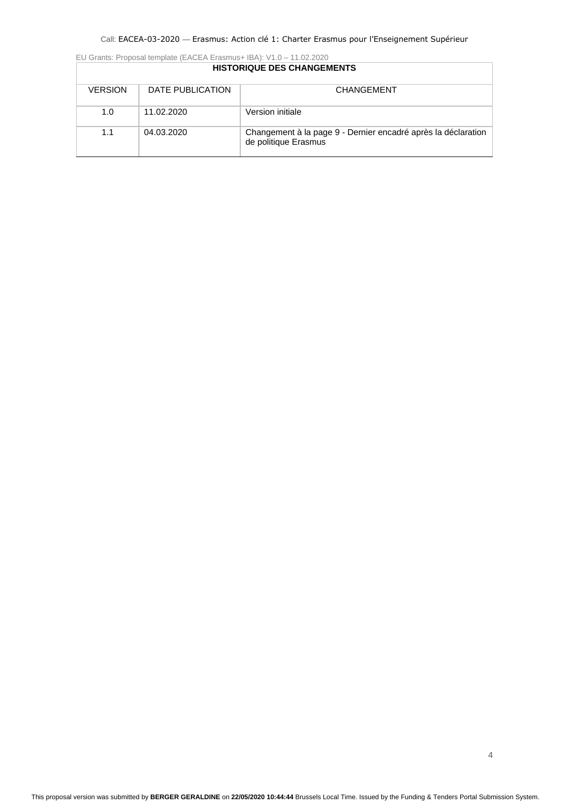EU Grants: Proposal template (EACEA Erasmus+ IBA): V1.0 – 11.02.2020

|                |                  | <b>HISTORIQUE DES CHANGEMENTS</b>                                                     |
|----------------|------------------|---------------------------------------------------------------------------------------|
| <b>VERSION</b> | DATE PUBLICATION | CHANGEMENT                                                                            |
| 1.0            | 11.02.2020       | Version initiale                                                                      |
| 1.1            | 04.03.2020       | Changement à la page 9 - Dernier encadré après la déclaration<br>de politique Erasmus |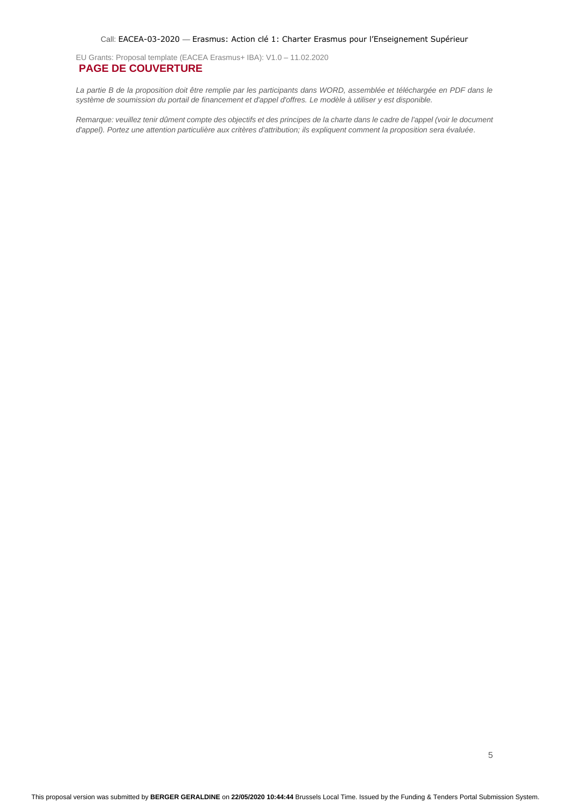<span id="page-13-0"></span>EU Grants: Proposal template (EACEA Erasmus+ IBA): V1.0 – 11.02.2020 **PAGE DE COUVERTURE**

La partie B de la proposition doit être remplie par les participants dans WORD, assemblée et téléchargée en PDF dans le *système de soumission du portail de financement et d'appel d'offres. Le modèle à utiliser y est disponible.*

*Remarque: veuillez tenir dûment compte des objectifs et des principes de la charte dans le cadre de l'appel (voir le document d'appel). Portez une attention particulière aux critères d'attribution; ils expliquent comment la proposition sera évaluée.*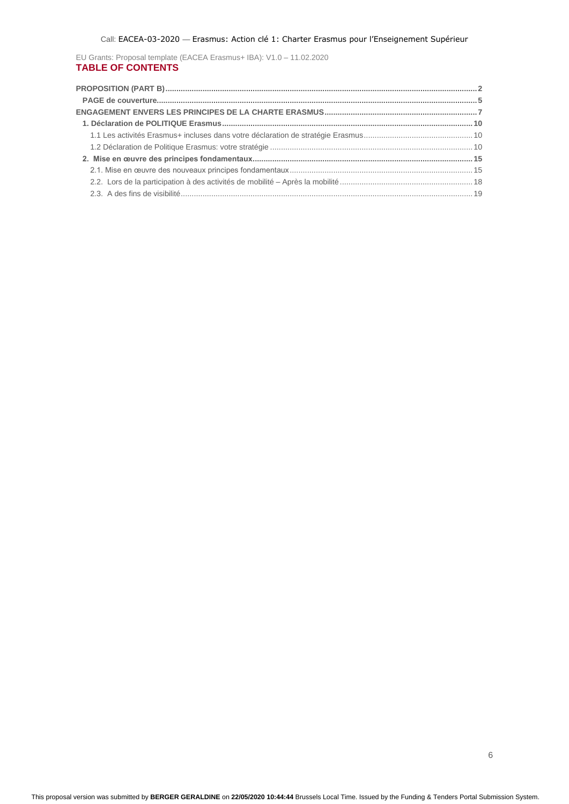EU Grants: Proposal template (EACEA Erasmus+ IBA): V1.0 – 11.02.2020 **TABLE OF CONTENTS**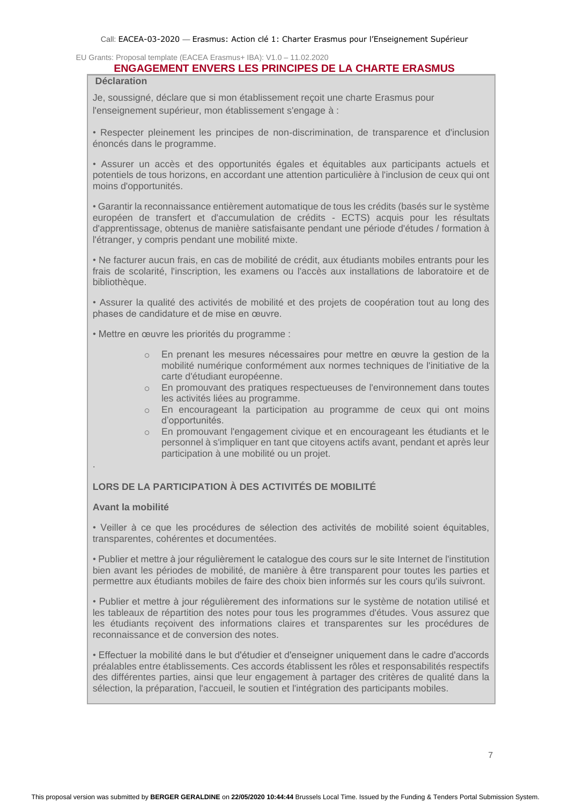## **ENGAGEMENT ENVERS LES PRINCIPES DE LA CHARTE ERASMUS**

<span id="page-15-0"></span>**Déclaration**

Je, soussigné, déclare que si mon établissement reçoit une charte Erasmus pour l'enseignement supérieur, mon établissement s'engage à :

• Respecter pleinement les principes de non-discrimination, de transparence et d'inclusion énoncés dans le programme.

• Assurer un accès et des opportunités égales et équitables aux participants actuels et potentiels de tous horizons, en accordant une attention particulière à l'inclusion de ceux qui ont moins d'opportunités.

• Garantir la reconnaissance entièrement automatique de tous les crédits (basés sur le système européen de transfert et d'accumulation de crédits - ECTS) acquis pour les résultats d'apprentissage, obtenus de manière satisfaisante pendant une période d'études / formation à l'étranger, y compris pendant une mobilité mixte.

• Ne facturer aucun frais, en cas de mobilité de crédit, aux étudiants mobiles entrants pour les frais de scolarité, l'inscription, les examens ou l'accès aux installations de laboratoire et de bibliothèque.

• Assurer la qualité des activités de mobilité et des projets de coopération tout au long des phases de candidature et de mise en œuvre.

• Mettre en œuvre les priorités du programme :

- o En prenant les mesures nécessaires pour mettre en œuvre la gestion de la mobilité numérique conformément aux normes techniques de l'initiative de la carte d'étudiant européenne.
- o En promouvant des pratiques respectueuses de l'environnement dans toutes les activités liées au programme.
- o En encourageant la participation au programme de ceux qui ont moins d'opportunités.
- o En promouvant l'engagement civique et en encourageant les étudiants et le personnel à s'impliquer en tant que citoyens actifs avant, pendant et après leur participation à une mobilité ou un projet.

## **LORS DE LA PARTICIPATION À DES ACTIVITÉS DE MOBILITÉ**

## **Avant la mobilité**

.

• Veiller à ce que les procédures de sélection des activités de mobilité soient équitables, transparentes, cohérentes et documentées.

• Publier et mettre à jour régulièrement le catalogue des cours sur le site Internet de l'institution bien avant les périodes de mobilité, de manière à être transparent pour toutes les parties et permettre aux étudiants mobiles de faire des choix bien informés sur les cours qu'ils suivront.

• Publier et mettre à jour régulièrement des informations sur le système de notation utilisé et les tableaux de répartition des notes pour tous les programmes d'études. Vous assurez que les étudiants reçoivent des informations claires et transparentes sur les procédures de reconnaissance et de conversion des notes.

• Effectuer la mobilité dans le but d'étudier et d'enseigner uniquement dans le cadre d'accords préalables entre établissements. Ces accords établissent les rôles et responsabilités respectifs des différentes parties, ainsi que leur engagement à partager des critères de qualité dans la sélection, la préparation, l'accueil, le soutien et l'intégration des participants mobiles.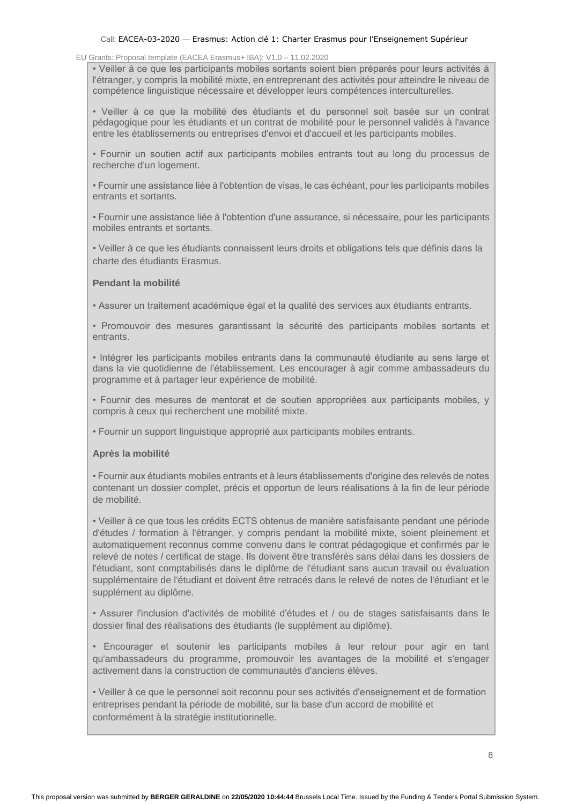## EU Grants: Proposal template (EACEA Erasmus+ IBA): V1.0 – 11.02.2020

• Veiller à ce que les participants mobiles sortants soient bien préparés pour leurs activités à l'étranger, y compris la mobilité mixte, en entreprenant des activités pour atteindre le niveau de compétence linguistique nécessaire et développer leurs compétences interculturelles.

• Veiller à ce que la mobilité des étudiants et du personnel soit basée sur un contrat pédagogique pour les étudiants et un contrat de mobilité pour le personnel validés à l'avance entre les établissements ou entreprises d'envoi et d'accueil et les participants mobiles.

• Fournir un soutien actif aux participants mobiles entrants tout au long du processus de recherche d'un logement.

• Fournir une assistance liée à l'obtention de visas, le cas échéant, pour les participants mobiles entrants et sortants.

• Fournir une assistance liée à l'obtention d'une assurance, si nécessaire, pour les participants mobiles entrants et sortants.

• Veiller à ce que les étudiants connaissent leurs droits et obligations tels que définis dans la charte des étudiants Erasmus.

## **Pendant la mobilité**

• Assurer un traitement académique égal et la qualité des services aux étudiants entrants.

• Promouvoir des mesures garantissant la sécurité des participants mobiles sortants et entrants.

• Intégrer les participants mobiles entrants dans la communauté étudiante au sens large et dans la vie quotidienne de l'établissement. Les encourager à agir comme ambassadeurs du programme et à partager leur expérience de mobilité.

• Fournir des mesures de mentorat et de soutien appropriées aux participants mobiles, y compris à ceux qui recherchent une mobilité mixte.

• Fournir un support linguistique approprié aux participants mobiles entrants.

## **Après la mobilité**

• Fournir aux étudiants mobiles entrants et à leurs établissements d'origine des relevés de notes contenant un dossier complet, précis et opportun de leurs réalisations à la fin de leur période de mobilité.

• Veiller à ce que tous les crédits ECTS obtenus de manière satisfaisante pendant une période d'études / formation à l'étranger, y compris pendant la mobilité mixte, soient pleinement et automatiquement reconnus comme convenu dans le contrat pédagogique et confirmés par le relevé de notes / certificat de stage. Ils doivent être transférés sans délai dans les dossiers de l'étudiant, sont comptabilisés dans le diplôme de l'étudiant sans aucun travail ou évaluation supplémentaire de l'étudiant et doivent être retracés dans le relevé de notes de l'étudiant et le supplément au diplôme.

• Assurer l'inclusion d'activités de mobilité d'études et / ou de stages satisfaisants dans le dossier final des réalisations des étudiants (le supplément au diplôme).

• Encourager et soutenir les participants mobiles à leur retour pour agir en tant qu'ambassadeurs du programme, promouvoir les avantages de la mobilité et s'engager activement dans la construction de communautés d'anciens élèves.

• Veiller à ce que le personnel soit reconnu pour ses activités d'enseignement et de formation entreprises pendant la période de mobilité, sur la base d'un accord de mobilité et conformément à la stratégie institutionnelle.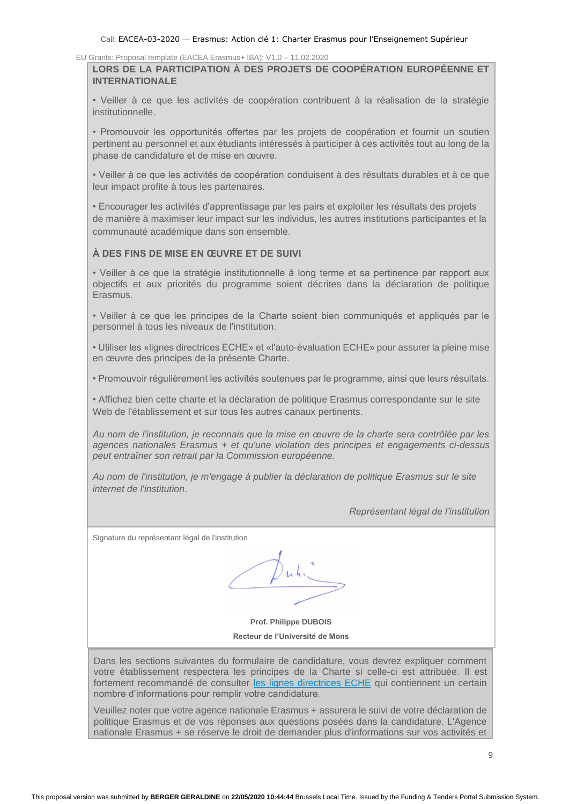**LORS DE LA PARTICIPATION À DES PROJETS DE COOPÉRATION EUROPÉENNE ET INTERNATIONALE**

• Veiller à ce que les activités de coopération contribuent à la réalisation de la stratégie institutionnelle.

• Promouvoir les opportunités offertes par les projets de coopération et fournir un soutien pertinent au personnel et aux étudiants intéressés à participer à ces activités tout au long de la phase de candidature et de mise en œuvre.

• Veiller à ce que les activités de coopération conduisent à des résultats durables et à ce que leur impact profite à tous les partenaires.

• Encourager les activités d'apprentissage par les pairs et exploiter les résultats des projets de manière à maximiser leur impact sur les individus, les autres institutions participantes et la communauté académique dans son ensemble.

## **À DES FINS DE MISE EN ŒUVRE ET DE SUIVI**

• Veiller à ce que la stratégie institutionnelle à long terme et sa pertinence par rapport aux objectifs et aux priorités du programme soient décrites dans la déclaration de politique Erasmus.

• Veiller à ce que les principes de la Charte soient bien communiqués et appliqués par le personnel à tous les niveaux de l'institution.

• Utiliser les «lignes directrices ECHE» et «l'auto-évaluation ECHE» pour assurer la pleine mise en œuvre des principes de la présente Charte.

• Promouvoir régulièrement les activités soutenues par le programme, ainsi que leurs résultats.

• Affichez bien cette charte et la déclaration de politique Erasmus correspondante sur le site Web de l'établissement et sur tous les autres canaux pertinents.

*Au nom de l'institution, je reconnais que la mise en œuvre de la charte sera contrôlée par les agences nationales Erasmus + et qu'une violation des principes et engagements ci-dessus peut entraîner son retrait par la Commission européenne.*

*Au nom de l'institution, je m'engage à publier la déclaration de politique Erasmus sur le site internet de l'institution*.

*Représentant légal de l'institution*

Signature du représentant légal de l'institution

 $Duk$ 

**Prof. Philippe DUBOIS Recteur de l'Université de Mons**

Dans les sections suivantes du formulaire de candidature, vous devrez expliquer comment votre établissement respectera les principes de la Charte si celle-ci est attribuée. Il est fortement recommandé de consulter [les lignes directrices ECHE](https://ec.europa.eu/programmes/erasmus-plus/sites/erasmusplus/files/files/resources/charter-annotated-guidelines-Feb2020_en.pdf) qui contiennent un certain nombre d'informations pour remplir votre candidature*.*

Veuillez noter que votre agence nationale Erasmus + assurera le suivi de votre déclaration de politique Erasmus et de vos réponses aux questions posées dans la candidature. L'Agence nationale Erasmus + se réserve le droit de demander plus d'informations sur vos activités et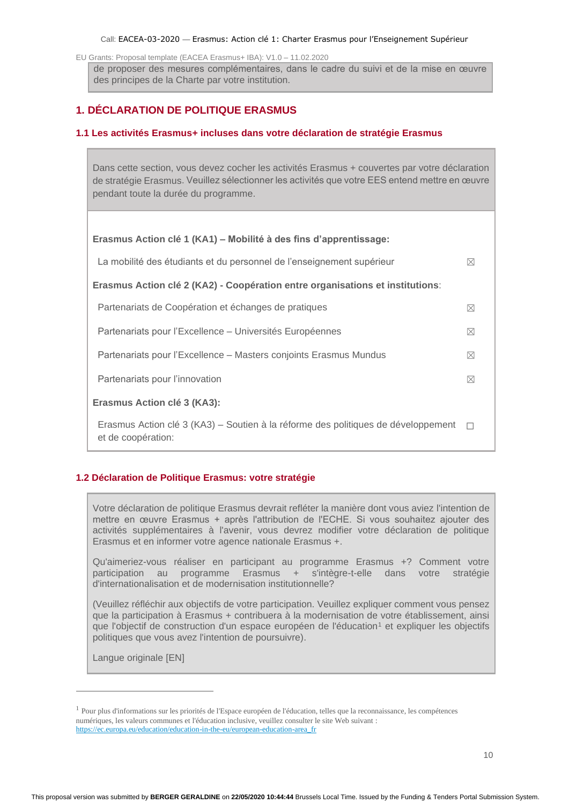EU Grants: Proposal template (EACEA Erasmus+ IBA): V1.0 – 11.02.2020

de proposer des mesures complémentaires, dans le cadre du suivi et de la mise en œuvre des principes de la Charte par votre institution.

## <span id="page-18-0"></span>**1. DÉCLARATION DE POLITIQUE ERASMUS**

## <span id="page-18-1"></span>**1.1 Les activités Erasmus+ incluses dans votre déclaration de stratégie Erasmus**

Dans cette section, vous devez cocher les activités Erasmus + couvertes par votre déclaration de stratégie Erasmus. Veuillez sélectionner les activités que votre EES entend mettre en œuvre pendant toute la durée du programme.

| Erasmus Action clé 1 (KA1) – Mobilité à des fins d'apprentissage:                                       |             |
|---------------------------------------------------------------------------------------------------------|-------------|
| La mobilité des étudiants et du personnel de l'enseignement supérieur                                   | ⊠           |
| Erasmus Action clé 2 (KA2) - Coopération entre organisations et institutions:                           |             |
| Partenariats de Coopération et échanges de pratiques                                                    | ⊠           |
| Partenariats pour l'Excellence – Universités Européennes                                                | $\boxtimes$ |
| Partenariats pour l'Excellence – Masters conjoints Erasmus Mundus                                       | ⊠           |
| Partenariats pour l'innovation                                                                          | ⊠           |
| Erasmus Action clé 3 (KA3):                                                                             |             |
| Erasmus Action clé 3 (KA3) – Soutien à la réforme des politiques de développement<br>et de coopération: | $\Box$      |

## <span id="page-18-2"></span>**1.2 Déclaration de Politique Erasmus: votre stratégie**

Votre déclaration de politique Erasmus devrait refléter la manière dont vous aviez l'intention de mettre en œuvre Erasmus + après l'attribution de l'ECHE. Si vous souhaitez ajouter des activités supplémentaires à l'avenir, vous devrez modifier votre déclaration de politique Erasmus et en informer votre agence nationale Erasmus +.

Qu'aimeriez-vous réaliser en participant au programme Erasmus +? Comment votre participation au programme Erasmus + s'intègre-t-elle dans votre stratégie d'internationalisation et de modernisation institutionnelle?

(Veuillez réfléchir aux objectifs de votre participation. Veuillez expliquer comment vous pensez que la participation à Erasmus + contribuera à la modernisation de votre établissement, ainsi que l'objectif de construction d'un espace européen de l'éducation<sup>1</sup> et expliquer les objectifs politiques que vous avez l'intention de poursuivre).

Langue originale [EN]

<sup>&</sup>lt;sup>1</sup> Pour plus d'informations sur les priorités de l'Espace européen de l'éducation, telles que la reconnaissance, les compétences numériques, les valeurs communes et l'éducation inclusive, veuillez consulter le site Web suivant : [https://ec.europa.eu/education/education-in-the-eu/european-education-area\\_fr](https://ec.europa.eu/education/education-in-the-eu/european-education-area_fr)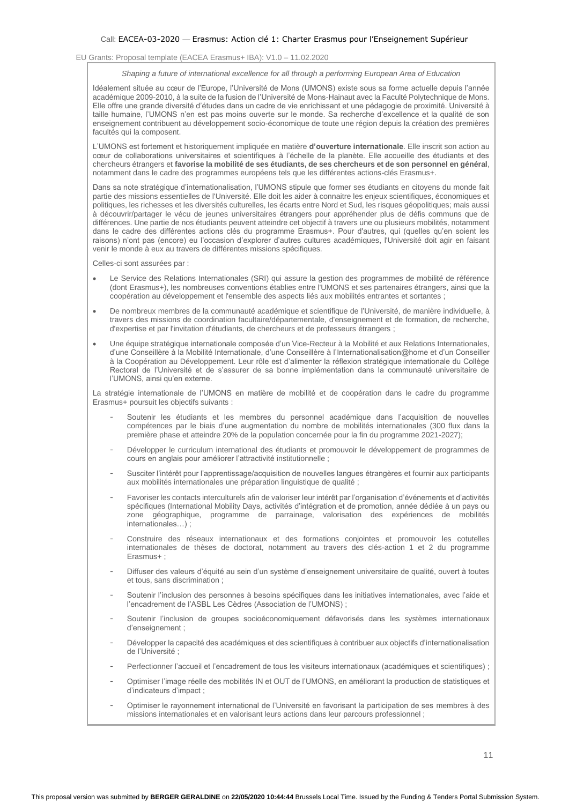#### *Shaping a future of international excellence for all through a performing European Area of Education*

Idéalement située au cœur de l'Europe, l'Université de Mons (UMONS) existe sous sa forme actuelle depuis l'année académique 2009-2010, à la suite de la fusion de l'Université de Mons-Hainaut avec la Faculté Polytechnique de Mons. Elle offre une grande diversité d'études dans un cadre de vie enrichissant et une pédagogie de proximité. Université à taille humaine, l'UMONS n'en est pas moins ouverte sur le monde. Sa recherche d'excellence et la qualité de son enseignement contribuent au développement socio-économique de toute une région depuis la création des premières facultés qui la composent.

L'UMONS est fortement et historiquement impliquée en matière **d'ouverture internationale**. Elle inscrit son action au cœur de collaborations universitaires et scientifiques à l'échelle de la planète. Elle accueille des étudiants et des chercheurs étrangers et **favorise la mobilité de ses étudiants, de ses chercheurs et de son personnel en général**, notamment dans le cadre des programmes européens tels que les différentes actions-clés Erasmus+.

Dans sa note stratégique d'internationalisation, l'UMONS stipule que former ses étudiants en citoyens du monde fait partie des missions essentielles de l'Université. Elle doit les aider à connaitre les enjeux scientifiques, économiques et politiques, les richesses et les diversités culturelles, les écarts entre Nord et Sud, les risques géopolitiques; mais aussi à découvrir/partager le vécu de jeunes universitaires étrangers pour appréhender plus de défis communs que de différences. Une partie de nos étudiants peuvent atteindre cet objectif à travers une ou plusieurs mobilités, notamment dans le cadre des différentes actions clés du programme Erasmus+. Pour d'autres, qui (quelles qu'en soient les raisons) n'ont pas (encore) eu l'occasion d'explorer d'autres cultures académiques, l'Université doit agir en faisant venir le monde à eux au travers de différentes missions spécifiques.

Celles-ci sont assurées par :

- Le Service des Relations Internationales (SRI) qui assure la gestion des programmes de mobilité de référence (dont Erasmus+), les nombreuses conventions établies entre l'UMONS et ses partenaires étrangers, ainsi que la coopération au développement et l'ensemble des aspects liés aux mobilités entrantes et sortantes ;
- De nombreux membres de la communauté académique et scientifique de l'Université, de manière individuelle, à travers des missions de coordination facultaire/départementale, d'enseignement et de formation, de recherche, d'expertise et par l'invitation d'étudiants, de chercheurs et de professeurs étrangers ;
- Une équipe stratégique internationale composée d'un Vice-Recteur à la Mobilité et aux Relations Internationales, d'une Conseillère à la Mobilité Internationale, d'une Conseillère à l'Internationalisation@home et d'un Conseiller à la Coopération au Développement. Leur rôle est d'alimenter la réflexion stratégique internationale du Collège Rectoral de l'Université et de s'assurer de sa bonne implémentation dans la communauté universitaire de l'UMONS, ainsi qu'en externe.

La stratégie internationale de l'UMONS en matière de mobilité et de coopération dans le cadre du programme Erasmus+ poursuit les objectifs suivants :

- Soutenir les étudiants et les membres du personnel académique dans l'acquisition de nouvelles compétences par le biais d'une augmentation du nombre de mobilités internationales (300 flux dans la première phase et atteindre 20% de la population concernée pour la fin du programme 2021-2027);
- Développer le curriculum international des étudiants et promouvoir le développement de programmes de cours en anglais pour améliorer l'attractivité institutionnelle ;
- Susciter l'intérêt pour l'apprentissage/acquisition de nouvelles langues étrangères et fournir aux participants aux mobilités internationales une préparation linguistique de qualité ;
- Favoriser les contacts interculturels afin de valoriser leur intérêt par l'organisation d'événements et d'activités spécifiques (International Mobility Days, activités d'intégration et de promotion, année dédiée à un pays ou zone géographique, programme de parrainage, valorisation des expériences de mobilités internationales…) ;
- Construire des réseaux internationaux et des formations conjointes et promouvoir les cotutelles internationales de thèses de doctorat, notamment au travers des clés-action 1 et 2 du programme Erasmus+ ;
- Diffuser des valeurs d'équité au sein d'un système d'enseignement universitaire de qualité, ouvert à toutes et tous, sans discrimination ;
- Soutenir l'inclusion des personnes à besoins spécifiques dans les initiatives internationales, avec l'aide et l'encadrement de l'ASBL Les Cèdres (Association de l'UMONS) ;
- Soutenir l'inclusion de groupes socioéconomiquement défavorisés dans les systèmes internationaux d'enseignement ;
- Développer la capacité des académiques et des scientifiques à contribuer aux objectifs d'internationalisation de l'Université ;
- Perfectionner l'accueil et l'encadrement de tous les visiteurs internationaux (académiques et scientifiques) ;
- Optimiser l'image réelle des mobilités IN et OUT de l'UMONS, en améliorant la production de statistiques et d'indicateurs d'impact ;
- Optimiser le rayonnement international de l'Université en favorisant la participation de ses membres à des missions internationales et en valorisant leurs actions dans leur parcours professionnel ;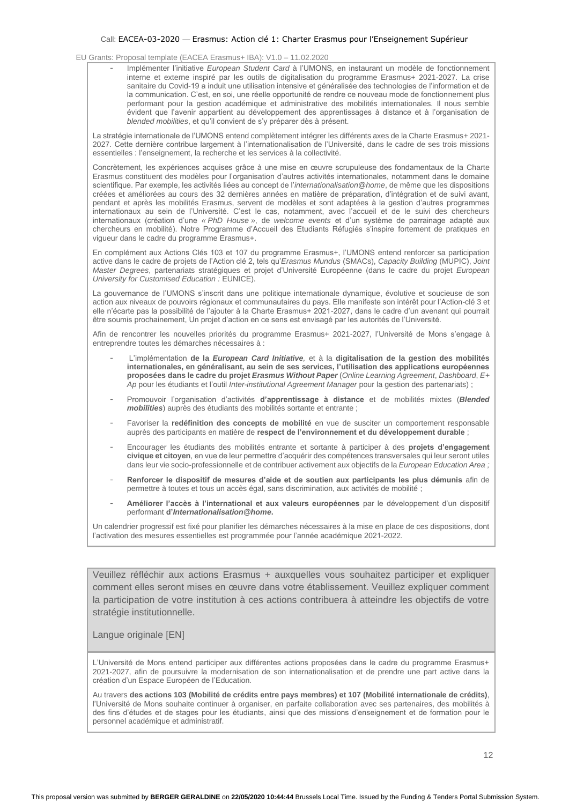EU Grants: Proposal template (EACEA Erasmus+ IBA): V1.0 – 11.02.2020

- Implémenter l'initiative *European Student Card* à l'UMONS, en instaurant un modèle de fonctionnement interne et externe inspiré par les outils de digitalisation du programme Erasmus+ 2021-2027. La crise sanitaire du Covid-19 a induit une utilisation intensive et généralisée des technologies de l'information et de la communication. C'est, en soi, une réelle opportunité de rendre ce nouveau mode de fonctionnement plus performant pour la gestion académique et administrative des mobilités internationales. Il nous semble évident que l'avenir appartient au développement des apprentissages à distance et à l'organisation de *blended mobilities*, et qu'il convient de s'y préparer dès à présent.

La stratégie internationale de l'UMONS entend complètement intégrer les différents axes de la Charte Erasmus+ 2021- 2027. Cette dernière contribue largement à l'internationalisation de l'Université, dans le cadre de ses trois missions essentielles : l'enseignement, la recherche et les services à la collectivité.

Concrètement, les expériences acquises grâce à une mise en œuvre scrupuleuse des fondamentaux de la Charte Erasmus constituent des modèles pour l'organisation d'autres activités internationales, notamment dans le domaine scientifique. Par exemple, les activités liées au concept de l'*internationalisation@home*, de même que les dispositions créées et améliorées au cours des 32 dernières années en matière de préparation, d'intégration et de suivi avant, pendant et après les mobilités Erasmus, servent de modèles et sont adaptées à la gestion d'autres programmes internationaux au sein de l'Université. C'est le cas, notamment, avec l'accueil et de le suivi des chercheurs internationaux (création d'une *« PhD House »*, de *welcome events* et d'un système de parrainage adapté aux chercheurs en mobilité). Notre Programme d'Accueil des Etudiants Réfugiés s'inspire fortement de pratiques en vigueur dans le cadre du programme Erasmus+.

En complément aux Actions Clés 103 et 107 du programme Erasmus+, l'UMONS entend renforcer sa participation active dans le cadre de projets de l'Action clé 2, tels qu'*Erasmus Mundus* (SMACs), *Capacity Building* (MUPIC), *Joint Master Degrees*, partenariats stratégiques et projet d'Université Européenne (dans le cadre du projet *European University for Customised Education :* EUNICE).

La gouvernance de l'UMONS s'inscrit dans une politique internationale dynamique, évolutive et soucieuse de son action aux niveaux de pouvoirs régionaux et communautaires du pays. Elle manifeste son intérêt pour l'Action-clé 3 et elle n'écarte pas la possibilité de l'ajouter à la Charte Erasmus+ 2021-2027, dans le cadre d'un avenant qui pourrait être soumis prochainement, Un projet d'action en ce sens est envisagé par les autorités de l'Université.

Afin de rencontrer les nouvelles priorités du programme Erasmus+ 2021-2027, l'Université de Mons s'engage à entreprendre toutes les démarches nécessaires à :

- L'implémentation **de la** *European Card Initiative,* et à la **digitalisation de la gestion des mobilités internationales, en généralisant, au sein de ses services, l'utilisation des applications européennes proposées dans le cadre du projet** *Erasmus Without Paper* (*Online Learning Agreement*, *Dashboard*, *E+ Ap* pour les étudiants et l'outil *Inter-institutional Agreement Manager* pour la gestion des partenariats) ;
- Promouvoir l'organisation d'activités **d'apprentissage à distance** et de mobilités mixtes (*Blended mobilities*) auprès des étudiants des mobilités sortante et entrante ;
- Favoriser la *redéfinition des concepts de mobilité* en vue de susciter un comportement responsable auprès des participants en matière de **respect de l'environnement et du développement durable** ;
- Encourager les étudiants des mobilités entrante et sortante à participer à des **projets d'engagement civique et citoyen**, en vue de leur permettre d'acquérir des compétences transversales qui leur seront utiles dans leur vie socio-professionnelle et de contribuer activement aux objectifs de la *European Education Area ;*
- **Renforcer le dispositif de mesures d'aide et de soutien aux participants les plus démunis** afin de permettre à toutes et tous un accès égal, sans discrimination, aux activités de mobilité ;
- **Améliorer l'accès à l'international et aux valeurs européennes** par le développement d'un dispositif performant **d'***Internationalisation@home***.**

Un calendrier progressif est fixé pour planifier les démarches nécessaires à la mise en place de ces dispositions, dont l'activation des mesures essentielles est programmée pour l'année académique 2021-2022.

Veuillez réfléchir aux actions Erasmus + auxquelles vous souhaitez participer et expliquer comment elles seront mises en œuvre dans votre établissement. Veuillez expliquer comment la participation de votre institution à ces actions contribuera à atteindre les objectifs de votre stratégie institutionnelle.

Langue originale [EN]

L'Université de Mons entend participer aux différentes actions proposées dans le cadre du programme Erasmus+ 2021-2027, afin de poursuivre la modernisation de son internationalisation et de prendre une part active dans la création d'un Espace Européen de l'Education.

Au travers **des actions 103 (Mobilité de crédits entre pays membres) et 107 (Mobilité internationale de crédits)**, l'Université de Mons souhaite continuer à organiser, en parfaite collaboration avec ses partenaires, des mobilités à des fins d'études et de stages pour les étudiants, ainsi que des missions d'enseignement et de formation pour le personnel académique et administratif.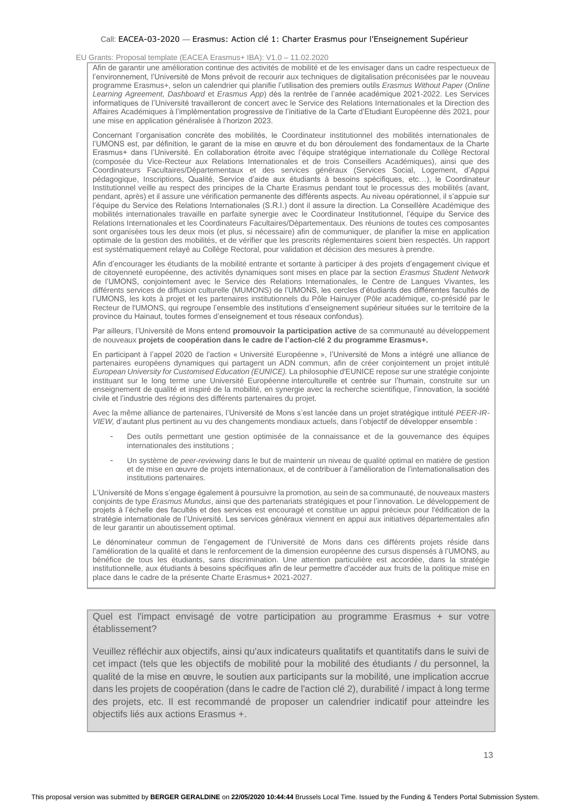#### EU Grants: Proposal template (EACEA Erasmus+ IBA): V1.0 – 11.02.2020

Afin de garantir une amélioration continue des activités de mobilité et de les envisager dans un cadre respectueux de l'environnement, l'Université de Mons prévoit de recourir aux techniques de digitalisation préconisées par le nouveau programme Erasmus+, selon un calendrier qui planifie l'utilisation des premiers outils *Erasmus Without Paper* (*Online Learning Agreement, Dashboard* et *Erasmus App*) dès la rentrée de l'année académique 2021-2022. Les Services informatiques de l'Université travailleront de concert avec le Service des Relations Internationales et la Direction des Affaires Académiques à l'implémentation progressive de l'initiative de la Carte d'Etudiant Européenne dès 2021, pour une mise en application généralisée à l'horizon 2023.

Concernant l'organisation concrète des mobilités, le Coordinateur institutionnel des mobilités internationales de l'UMONS est, par définition, le garant de la mise en œuvre et du bon déroulement des fondamentaux de la Charte Erasmus+ dans l'Université. En collaboration étroite avec l'équipe stratégique internationale du Collège Rectoral (composée du Vice-Recteur aux Relations Internationales et de trois Conseillers Académiques), ainsi que des Coordinateurs Facultaires/Départementaux et des services généraux (Services Social, Logement, d'Appui pédagogique, Inscriptions, Qualité, Service d'aide aux étudiants à besoins spécifiques, etc…), le Coordinateur Institutionnel veille au respect des principes de la Charte Erasmus pendant tout le processus des mobilités (avant, pendant, après) et il assure une vérification permanente des différents aspects. Au niveau opérationnel, il s'appuie sur l'équipe du Service des Relations Internationales (S.R.I.) dont il assure la direction. La Conseillère Académique des mobilités internationales travaille en parfaite synergie avec le Coordinateur Institutionnel, l'équipe du Service des Relations Internationales et les Coordinateurs Facultaires/Départementaux. Des réunions de toutes ces composantes sont organisées tous les deux mois (et plus, si nécessaire) afin de communiquer, de planifier la mise en application optimale de la gestion des mobilités, et de vérifier que les prescrits réglementaires soient bien respectés. Un rapport est systématiquement relayé au Collège Rectoral, pour validation et décision des mesures à prendre.

Afin d'encourager les étudiants de la mobilité entrante et sortante à participer à des projets d'engagement civique et de citoyenneté européenne, des activités dynamiques sont mises en place par la section *Erasmus Student Network* de l'UMONS, conjointement avec le Service des Relations Internationales, le Centre de Langues Vivantes, les différents services de diffusion culturelle (MUMONS) de l'UMONS, les cercles d'étudiants des différentes facultés de l'UMONS, les kots à projet et les partenaires institutionnels du Pôle Hainuyer (Pôle académique, co-présidé par le Recteur de l'UMONS, qui regroupe l'ensemble des institutions d'enseignement supérieur situées sur le territoire de la province du Hainaut, toutes formes d'enseignement et tous réseaux confondus).

Par ailleurs, l'Université de Mons entend **promouvoir la participation active** de sa communauté au développement de nouveaux **projets de coopération dans le cadre de l'action-clé 2 du programme Erasmus+.**

En participant à l'appel 2020 de l'action « Université Européenne », l'Université de Mons a intégré une alliance de partenaires européens dynamiques qui partagent un ADN commun, afin de créer conjointement un projet intitulé *European University for Customised Education (EUNICE).* La philosophie d'EUNICE repose sur une stratégie conjointe instituant sur le long terme une Université Européenne interculturelle et centrée sur l'humain, construite sur un enseignement de qualité et inspiré de la mobilité, en synergie avec la recherche scientifique, l'innovation, la société civile et l'industrie des régions des différents partenaires du projet.

Avec la même alliance de partenaires, l'Université de Mons s'est lancée dans un projet stratégique intitulé *PEER-IR-VIEW,* d'autant plus pertinent au vu des changements mondiaux actuels, dans l'objectif de développer ensemble :

- Des outils permettant une gestion optimisée de la connaissance et de la gouvernance des équipes internationales des institutions ;
- Un système de *peer-reviewing* dans le but de maintenir un niveau de qualité optimal en matière de gestion et de mise en œuvre de projets internationaux, et de contribuer à l'amélioration de l'internationalisation des institutions partenaires.

L'Université de Mons s'engage également à poursuivre la promotion, au sein de sa communauté, de nouveaux masters conjoints de type *Erasmus Mundus*, ainsi que des partenariats stratégiques et pour l'innovation. Le développement de projets à l'échelle des facultés et des services est encouragé et constitue un appui précieux pour l'édification de la stratégie internationale de l'Université. Les services généraux viennent en appui aux initiatives départementales afin de leur garantir un aboutissement optimal.

Le dénominateur commun de l'engagement de l'Université de Mons dans ces différents projets réside dans l'amélioration de la qualité et dans le renforcement de la dimension européenne des cursus dispensés à l'UMONS, au bénéfice de tous les étudiants, sans discrimination. Une attention particulière est accordée, dans la stratégie institutionnelle, aux étudiants à besoins spécifiques afin de leur permettre d'accéder aux fruits de la politique mise en place dans le cadre de la présente Charte Erasmus+ 2021-2027.

Quel est l'impact envisagé de votre participation au programme Erasmus + sur votre établissement?

Veuillez réfléchir aux objectifs, ainsi qu'aux indicateurs qualitatifs et quantitatifs dans le suivi de cet impact (tels que les objectifs de mobilité pour la mobilité des étudiants / du personnel, la qualité de la mise en œuvre, le soutien aux participants sur la mobilité, une implication accrue dans les projets de coopération (dans le cadre de l'action clé 2), durabilité / impact à long terme des projets, etc. Il est recommandé de proposer un calendrier indicatif pour atteindre les objectifs liés aux actions Erasmus +.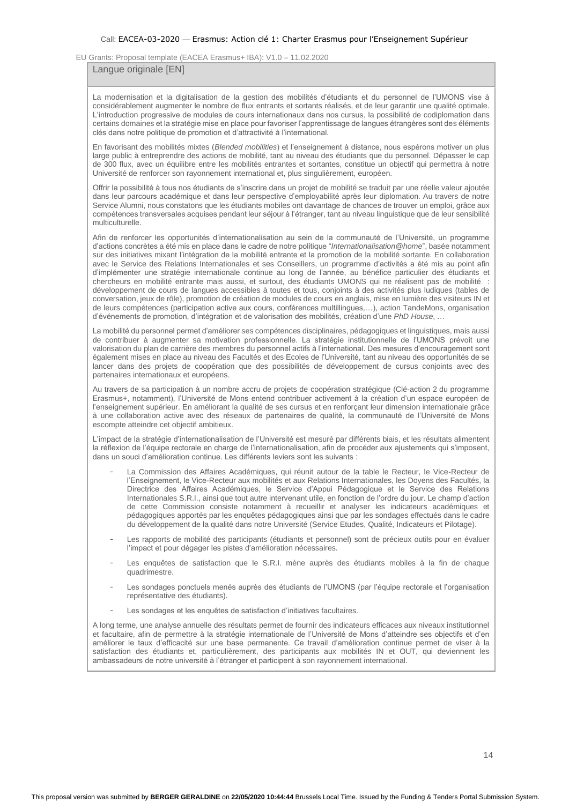### Langue originale [EN]

La modernisation et la digitalisation de la gestion des mobilités d'étudiants et du personnel de l'UMONS vise à considérablement augmenter le nombre de flux entrants et sortants réalisés, et de leur garantir une qualité optimale. L'introduction progressive de modules de cours internationaux dans nos cursus, la possibilité de codiplomation dans certains domaines et la stratégie mise en place pour favoriser l'apprentissage de langues étrangères sont des éléments clés dans notre politique de promotion et d'attractivité à l'international.

En favorisant des mobilités mixtes (*Blended mobilities*) et l'enseignement à distance, nous espérons motiver un plus large public à entreprendre des actions de mobilité, tant au niveau des étudiants que du personnel. Dépasser le cap de 300 flux, avec un équilibre entre les mobilités entrantes et sortantes, constitue un objectif qui permettra à notre Université de renforcer son rayonnement international et, plus singulièrement, européen.

Offrir la possibilité à tous nos étudiants de s'inscrire dans un projet de mobilité se traduit par une réelle valeur ajoutée dans leur parcours académique et dans leur perspective d'employabilité après leur diplomation. Au travers de notre Service Alumni, nous constatons que les étudiants mobiles ont davantage de chances de trouver un emploi, grâce aux compétences transversales acquises pendant leur séjour à l'étranger, tant au niveau linguistique que de leur sensibilité multiculturelle.

Afin de renforcer les opportunités d'internationalisation au sein de la communauté de l'Université, un programme d'actions concrètes a été mis en place dans le cadre de notre politique "*Internationalisation@home*", basée notamment sur des initiatives mixant l'intégration de la mobilité entrante et la promotion de la mobilité sortante. En collaboration avec le Service des Relations Internationales et ses Conseillers, un programme d'activités a été mis au point afin d'implémenter une stratégie internationale continue au long de l'année, au bénéfice particulier des étudiants et chercheurs en mobilité entrante mais aussi, et surtout, des étudiants UMONS qui ne réalisent pas de mobilité : développement de cours de langues accessibles à toutes et tous, conjoints à des activités plus ludiques (tables de conversation, jeux de rôle), promotion de création de modules de cours en anglais, mise en lumière des visiteurs IN et de leurs compétences (participation active aux cours, conférences multillingues,…), action TandeMons, organisation d'événements de promotion, d'intégration et de valorisation des mobilités, création d'une *PhD House*, …

La mobilité du personnel permet d'améliorer ses compétences disciplinaires, pédagogiques et linguistiques, mais aussi de contribuer à augmenter sa motivation professionnelle. La stratégie institutionnelle de l'UMONS prévoit une valorisation du plan de carrière des membres du personnel actifs à l'international. Des mesures d'encouragement sont également mises en place au niveau des Facultés et des Ecoles de l'Université, tant au niveau des opportunités de se lancer dans des projets de coopération que des possibilités de développement de cursus conjoints avec des partenaires internationaux et européens.

Au travers de sa participation à un nombre accru de projets de coopération stratégique (Clé-action 2 du programme Erasmus+, notamment), l'Université de Mons entend contribuer activement à la création d'un espace européen de l'enseignement supérieur. En améliorant la qualité de ses cursus et en renforçant leur dimension internationale grâce à une collaboration active avec des réseaux de partenaires de qualité, la communauté de l'Université de Mons escompte atteindre cet objectif ambitieux.

L'impact de la stratégie d'internationalisation de l'Université est mesuré par différents biais, et les résultats alimentent la réflexion de l'équipe rectorale en charge de l'internationalisation, afin de procéder aux ajustements qui s'imposent, dans un souci d'amélioration continue. Les différents leviers sont les suivants :

- La Commission des Affaires Académiques, qui réunit autour de la table le Recteur, le Vice-Recteur de l'Enseignement, le Vice-Recteur aux mobilités et aux Relations Internationales, les Doyens des Facultés, la Directrice des Affaires Académiques, le Service d'Appui Pédagogique et le Service des Relations Internationales S.R.I., ainsi que tout autre intervenant utile, en fonction de l'ordre du jour. Le champ d'action de cette Commission consiste notamment à recueillir et analyser les indicateurs académiques et pédagogiques apportés par les enquêtes pédagogiques ainsi que par les sondages effectués dans le cadre du développement de la qualité dans notre Université (Service Etudes, Qualité, Indicateurs et Pilotage).
- Les rapports de mobilité des participants (étudiants et personnel) sont de précieux outils pour en évaluer l'impact et pour dégager les pistes d'amélioration nécessaires.
- Les enquêtes de satisfaction que le S.R.I. mène auprès des étudiants mobiles à la fin de chaque quadrimestre.
- Les sondages ponctuels menés auprès des étudiants de l'UMONS (par l'équipe rectorale et l'organisation représentative des étudiants).
- Les sondages et les enquêtes de satisfaction d'initiatives facultaires.

A long terme, une analyse annuelle des résultats permet de fournir des indicateurs efficaces aux niveaux institutionnel et facultaire, afin de permettre à la stratégie internationale de l'Université de Mons d'atteindre ses objectifs et d'en améliorer le taux d'efficacité sur une base permanente. Ce travail d'amélioration continue permet de viser à la satisfaction des étudiants et, particulièrement, des participants aux mobilités IN et OUT, qui deviennent les ambassadeurs de notre université à l'étranger et participent à son rayonnement international.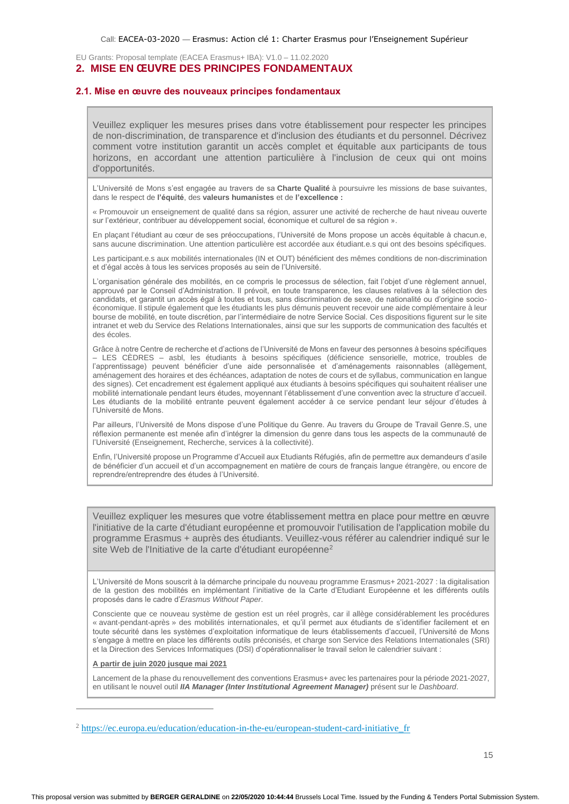## <span id="page-23-0"></span>**2. MISE EN ŒUVRE DES PRINCIPES FONDAMENTAUX**

## <span id="page-23-1"></span>**2.1. Mise en œuvre des nouveaux principes fondamentaux**

Veuillez expliquer les mesures prises dans votre établissement pour respecter les principes de non-discrimination, de transparence et d'inclusion des étudiants et du personnel. Décrivez comment votre institution garantit un accès complet et équitable aux participants de tous horizons, en accordant une attention particulière à l'inclusion de ceux qui ont moins d'opportunités.

L'Université de Mons s'est engagée au travers de sa **Charte Qualité** à poursuivre les missions de base suivantes, dans le respect de **l'équité**, des **valeurs humanistes** et de **l'excellence :** 

« Promouvoir un enseignement de qualité dans sa région, assurer une activité de recherche de haut niveau ouverte sur l'extérieur, contribuer au développement social, économique et culturel de sa région ».

En plaçant l'étudiant au cœur de ses préoccupations, l'Université de Mons propose un accès équitable à chacun.e, sans aucune discrimination. Une attention particulière est accordée aux étudiant.e.s qui ont des besoins spécifiques.

Les participant.e.s aux mobilités internationales (IN et OUT) bénéficient des mêmes conditions de non-discrimination et d'égal accès à tous les services proposés au sein de l'Université.

L'organisation générale des mobilités, en ce compris le processus de sélection, fait l'objet d'une règlement annuel, approuvé par le Conseil d'Administration. Il prévoit, en toute transparence, les clauses relatives à la sélection des candidats, et garantit un accès égal à toutes et tous, sans discrimination de sexe, de nationalité ou d'origine socioéconomique. Il stipule également que les étudiants les plus démunis peuvent recevoir une aide complémentaire à leur bourse de mobilité, en toute discrétion, par l'intermédiaire de notre Service Social. Ces dispositions figurent sur le site intranet et web du Service des Relations Internationales, ainsi que sur les supports de communication des facultés et des écoles.

Grâce à notre Centre de recherche et d'actions de l'Université de Mons en faveur des personnes à besoins spécifiques – LES CÈDRES – asbl, les étudiants à besoins spécifiques (déficience sensorielle, motrice, troubles de l'apprentissage) peuvent bénéficier d'une aide personnalisée et d'aménagements raisonnables (allègement, aménagement des horaires et des échéances, adaptation de notes de cours et de syllabus, communication en langue des signes). Cet encadrement est également appliqué aux étudiants à besoins spécifiques qui souhaitent réaliser une mobilité internationale pendant leurs études, moyennant l'établissement d'une convention avec la structure d'accueil. Les étudiants de la mobilité entrante peuvent également accéder à ce service pendant leur séjour d'études à l'Université de Mons.

Par ailleurs, l'Université de Mons dispose d'une Politique du Genre. Au travers du Groupe de Travail Genre.S, une réflexion permanente est menée afin d'intégrer la dimension du genre dans tous les aspects de la communauté de l'Université (Enseignement, Recherche, services à la collectivité).

Enfin, l'Université propose un Programme d'Accueil aux Etudiants Réfugiés, afin de permettre aux demandeurs d'asile de bénéficier d'un accueil et d'un accompagnement en matière de cours de français langue étrangère, ou encore de reprendre/entreprendre des études à l'Université.

Veuillez expliquer les mesures que votre établissement mettra en place pour mettre en œuvre l'initiative de la carte d'étudiant européenne et promouvoir l'utilisation de l'application mobile du programme Erasmus + auprès des étudiants. Veuillez-vous référer au calendrier indiqué sur le site Web de l'Initiative de la carte d'étudiant européenne<sup>2</sup>

L'Université de Mons souscrit à la démarche principale du nouveau programme Erasmus+ 2021-2027 : la digitalisation de la gestion des mobilités en implémentant l'initiative de la Carte d'Etudiant Européenne et les différents outils proposés dans le cadre d'*Erasmus Without Paper*.

Consciente que ce nouveau système de gestion est un réel progrès, car il allège considérablement les procédures « avant-pendant-après » des mobilités internationales, et qu'il permet aux étudiants de s'identifier facilement et en toute sécurité dans les systèmes d'exploitation informatique de leurs établissements d'accueil, l'Université de Mons s'engage à mettre en place les différents outils préconisés, et charge son Service des Relations Internationales (SRI) et la Direction des Services Informatiques (DSI) d'opérationnaliser le travail selon le calendrier suivant :

#### **A partir de juin 2020 jusque mai 2021**

Lancement de la phase du renouvellement des conventions Erasmus+ avec les partenaires pour la période 2021-2027, en utilisant le nouvel outil *IIA Manager (Inter Institutional Agreement Manager)* présent sur le *Dashboard*.

<sup>&</sup>lt;sup>2</sup> https://ec.europa.eu/education/education-in-the-eu/european-student-card-initiative fr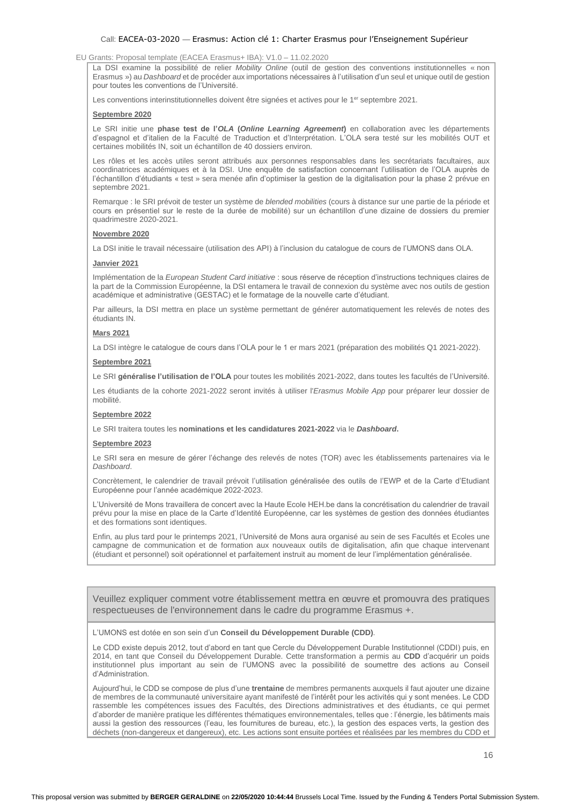## EU Grants: Proposal template (EACEA Erasmus+ IBA): V1.0 – 11.02.2020

La DSI examine la possibilité de relier *Mobility Online* (outil de gestion des conventions institutionnelles « non Erasmus ») au *Dashboard* et de procéder aux importations nécessaires à l'utilisation d'un seul et unique outil de gestion pour toutes les conventions de l'Université.

Les conventions interinstitutionnelles doivent être signées et actives pour le 1<sup>er</sup> septembre 2021.

#### **Septembre 2020**

Le SRI initie une **phase test de l'***OLA* **(***Online Learning Agreement***)** en collaboration avec les départements d'espagnol et d'italien de la Faculté de Traduction et d'Interprétation. L'OLA sera testé sur les mobilités OUT et certaines mobilités IN, soit un échantillon de 40 dossiers environ.

Les rôles et les accès utiles seront attribués aux personnes responsables dans les secrétariats facultaires, aux coordinatrices académiques et à la DSI. Une enquête de satisfaction concernant l'utilisation de l'OLA auprès de l'échantillon d'étudiants « test » sera menée afin d'optimiser la gestion de la digitalisation pour la phase 2 prévue en septembre 2021.

Remarque : le SRI prévoit de tester un système de *blended mobilities* (cours à distance sur une partie de la période et cours en présentiel sur le reste de la durée de mobilité) sur un échantillon d'une dizaine de dossiers du premier quadrimestre 2020-2021.

### **Novembre 2020**

La DSI initie le travail nécessaire (utilisation des API) à l'inclusion du catalogue de cours de l'UMONS dans OLA.

### **Janvier 2021**

Implémentation de la *European Student Card initiative* : sous réserve de réception d'instructions techniques claires de la part de la Commission Européenne, la DSI entamera le travail de connexion du système avec nos outils de gestion académique et administrative (GESTAC) et le formatage de la nouvelle carte d'étudiant.

Par ailleurs, la DSI mettra en place un système permettant de générer automatiquement les relevés de notes des étudiants IN.

## **Mars 2021**

La DSI intègre le catalogue de cours dans l'OLA pour le 1 er mars 2021 (préparation des mobilités Q1 2021-2022).

#### **Septembre 2021**

Le SRI **généralise l'utilisation de l'OLA** pour toutes les mobilités 2021-2022, dans toutes les facultés de l'Université.

Les étudiants de la cohorte 2021-2022 seront invités à utiliser l'*Erasmus Mobile App* pour préparer leur dossier de mobilité.

#### **Septembre 2022**

Le SRI traitera toutes les **nominations et les candidatures 2021-2022** via le *Dashboard***.**

#### **Septembre 2023**

Le SRI sera en mesure de gérer l'échange des relevés de notes (TOR) avec les établissements partenaires via le *Dashboard*.

Concrètement, le calendrier de travail prévoit l'utilisation généralisée des outils de l'EWP et de la Carte d'Etudiant Européenne pour l'année académique 2022-2023.

L'Université de Mons travaillera de concert avec la Haute Ecole HEH.be dans la concrétisation du calendrier de travail prévu pour la mise en place de la Carte d'Identité Européenne, car les systèmes de gestion des données étudiantes et des formations sont identiques.

Enfin, au plus tard pour le printemps 2021, l'Université de Mons aura organisé au sein de ses Facultés et Ecoles une campagne de communication et de formation aux nouveaux outils de digitalisation, afin que chaque intervenant (étudiant et personnel) soit opérationnel et parfaitement instruit au moment de leur l'implémentation généralisée.

Veuillez expliquer comment votre établissement mettra en œuvre et promouvra des pratiques respectueuses de l'environnement dans le cadre du programme Erasmus +.

L'UMONS est dotée en son sein d'un **Conseil du Développement Durable (CDD)**.

Le CDD existe depuis 2012, tout d'abord en tant que Cercle du Développement Durable Institutionnel (CDDI) puis, en 2014, en tant que Conseil du Développement Durable. Cette transformation a permis au **CDD** d'acquérir un poids institutionnel plus important au sein de l'UMONS avec la possibilité de soumettre des actions au Conseil d'Administration.

Aujourd'hui, le CDD se compose de plus d'une **trentaine** de membres permanents auxquels il faut ajouter une dizaine de membres de la communauté universitaire ayant manifesté de l'intérêt pour les activités qui y sont menées. Le CDD rassemble les compétences issues des Facultés, des Directions administratives et des étudiants, ce qui permet d'aborder de manière pratique les différentes thématiques environnementales, telles que : l'énergie, les bâtiments mais aussi la gestion des ressources (l'eau, les fournitures de bureau, etc.), la gestion des espaces verts, la gestion des déchets (non-dangereux et dangereux), etc. Les actions sont ensuite portées et réalisées par les membres du CDD et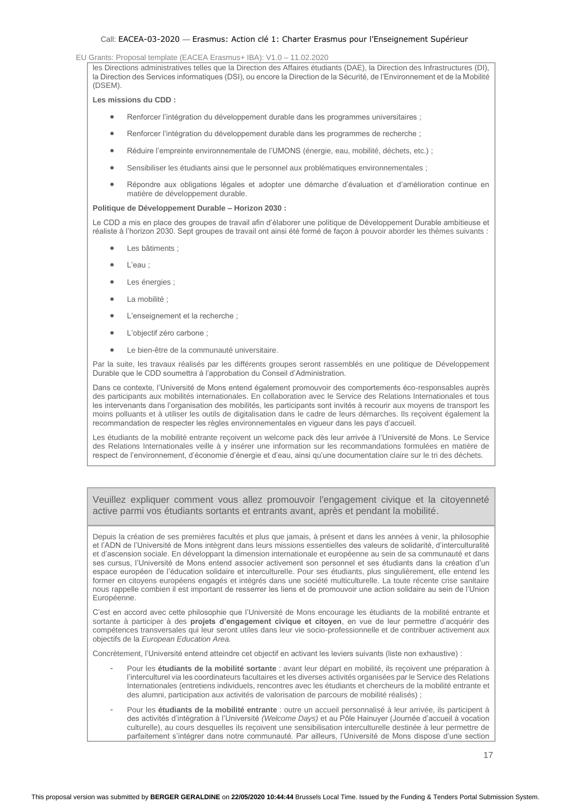## EU Grants: Proposal template (EACEA Erasmus+ IBA): V1.0 – 11.02.2020

les Directions administratives telles que la Direction des Affaires étudiants (DAE), la Direction des Infrastructures (DI), la Direction des Services informatiques (DSI), ou encore la Direction de la Sécurité, de l'Environnement et de la Mobilité (DSEM).

**Les missions du CDD :**

- Renforcer l'intégration du développement durable dans les programmes universitaires ;
- Renforcer l'intégration du développement durable dans les programmes de recherche ;
- Réduire l'empreinte environnementale de l'UMONS (énergie, eau, mobilité, déchets, etc.) ;
- Sensibiliser les étudiants ainsi que le personnel aux problématiques environnementales ;
- Répondre aux obligations légales et adopter une démarche d'évaluation et d'amélioration continue en matière de développement durable.

#### **Politique de Développement Durable – Horizon 2030 :**

Le CDD a mis en place des groupes de travail afin d'élaborer une politique de Développement Durable ambitieuse et réaliste à l'horizon 2030. Sept groupes de travail ont ainsi été formé de façon à pouvoir aborder les thèmes suivants :

- Les bâtiments ;
- L'eau ;
- Les énergies ;
- La mobilité ;
- L'enseignement et la recherche ;
- L'objectif zéro carbone :
- Le bien-être de la communauté universitaire.

Par la suite, les travaux réalisés par les différents groupes seront rassemblés en une politique de Développement Durable que le CDD soumettra à l'approbation du Conseil d'Administration.

Dans ce contexte, l'Université de Mons entend également promouvoir des comportements éco-responsables auprès des participants aux mobilités internationales. En collaboration avec le Service des Relations Internationales et tous les intervenants dans l'organisation des mobilités, les participants sont invités à recourir aux moyens de transport les moins polluants et à utiliser les outils de digitalisation dans le cadre de leurs démarches. Ils reçoivent également la recommandation de respecter les règles environnementales en vigueur dans les pays d'accueil.

Les étudiants de la mobilité entrante reçoivent un welcome pack dès leur arrivée à l'Université de Mons. Le Service des Relations Internationales veille à y insérer une information sur les recommandations formulées en matière de respect de l'environnement, d'économie d'énergie et d'eau, ainsi qu'une documentation claire sur le tri des déchets.

Veuillez expliquer comment vous allez promouvoir l'engagement civique et la citoyenneté active parmi vos étudiants sortants et entrants avant, après et pendant la mobilité.

Depuis la création de ses premières facultés et plus que jamais, à présent et dans les années à venir, la philosophie et l'ADN de l'Université de Mons intègrent dans leurs missions essentielles des valeurs de solidarité, d'interculturalité et d'ascension sociale. En développant la dimension internationale et européenne au sein de sa communauté et dans ses cursus, l'Université de Mons entend associer activement son personnel et ses étudiants dans la création d'un espace européen de l'éducation solidaire et interculturelle. Pour ses étudiants, plus singulièrement, elle entend les former en citoyens européens engagés et intégrés dans une société multiculturelle. La toute récente crise sanitaire nous rappelle combien il est important de resserrer les liens et de promouvoir une action solidaire au sein de l'Union Européenne.

C'est en accord avec cette philosophie que l'Université de Mons encourage les étudiants de la mobilité entrante et sortante à participer à des **projets d'engagement civique et citoyen**, en vue de leur permettre d'acquérir des compétences transversales qui leur seront utiles dans leur vie socio-professionnelle et de contribuer activement aux objectifs de la *European Education Area.*

Concrètement, l'Université entend atteindre cet objectif en activant les leviers suivants (liste non exhaustive) :

- Pour les **étudiants de la mobilité sortante** : avant leur départ en mobilité, ils reçoivent une préparation à l'interculturel via les coordinateurs facultaires et les diverses activités organisées par le Service des Relations Internationales (entretiens individuels, rencontres avec les étudiants et chercheurs de la mobilité entrante et des alumni, participation aux activités de valorisation de parcours de mobilité réalisés) ;
- Pour les étudiants de la mobilité entrante : outre un accueil personnalisé à leur arrivée, ils participent à des activités d'intégration à l'Université *(Welcome Days)* et au Pôle Hainuyer (Journée d'accueil à vocation culturelle), au cours desquelles ils reçoivent une sensibilisation interculturelle destinée à leur permettre de parfaitement s'intégrer dans notre communauté. Par ailleurs, l'Université de Mons dispose d'une section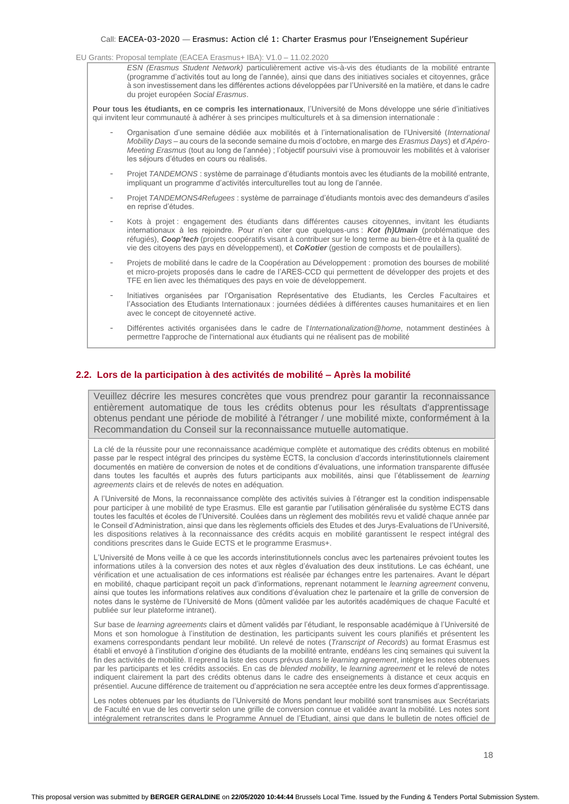EU Grants: Proposal template (EACEA Erasmus+ IBA): V1.0 – 11.02.2020

*ESN (Erasmus Student Network)* particulièrement active vis-à-vis des étudiants de la mobilité entrante (programme d'activités tout au long de l'année), ainsi que dans des initiatives sociales et citoyennes, grâce à son investissement dans les différentes actions développées par l'Université en la matière, et dans le cadre du projet européen *Social Erasmus*.

Pour tous les étudiants, en ce compris les internationaux, l'Université de Mons développe une série d'initiatives qui invitent leur communauté à adhérer à ses principes multiculturels et à sa dimension internationale :

- Organisation d'une semaine dédiée aux mobilités et à l'internationalisation de l'Université (*International Mobility Days* – au cours de la seconde semaine du mois d'octobre, en marge des *Erasmus Days*) et d'*Apéro-Meeting Erasmus* (tout au long de l'année) ; l'objectif poursuivi vise à promouvoir les mobilités et à valoriser les séjours d'études en cours ou réalisés.
- Projet TANDEMONS : système de parrainage d'étudiants montois avec les étudiants de la mobilité entrante, impliquant un programme d'activités interculturelles tout au long de l'année.
- Projet *TANDEMONS4Refugees* : système de parrainage d'étudiants montois avec des demandeurs d'asiles en reprise d'études.
- Kots à projet : engagement des étudiants dans différentes causes citoyennes, invitant les étudiants internationaux à les rejoindre. Pour n'en citer que quelques-uns : *Kot (h)Umain* (problématique des réfugiés), *Coop'tech* (projets coopératifs visant à contribuer sur le long terme au bien-être et à la qualité de vie des citoyens des pays en développement), et *CoKotier* (gestion de composts et de poulaillers).
- Projets de mobilité dans le cadre de la Coopération au Développement : promotion des bourses de mobilité et micro-projets proposés dans le cadre de l'ARES-CCD qui permettent de développer des projets et des TFE en lien avec les thématiques des pays en voie de développement.
- Initiatives organisées par l'Organisation Représentative des Etudiants, les Cercles Facultaires et l'Association des Etudiants Internationaux : journées dédiées à différentes causes humanitaires et en lien avec le concept de citoyenneté active.
- Différentes activités organisées dans le cadre de l'*Internationalization@home*, notamment destinées à permettre l'approche de l'international aux étudiants qui ne réalisent pas de mobilité

## <span id="page-26-0"></span>**2.2. Lors de la participation à des activités de mobilité – Après la mobilité**

Veuillez décrire les mesures concrètes que vous prendrez pour garantir la reconnaissance entièrement automatique de tous les crédits obtenus pour les résultats d'apprentissage obtenus pendant une période de mobilité à l'étranger / une mobilité mixte, conformément à la Recommandation du Conseil sur la reconnaissance mutuelle automatique.

La clé de la réussite pour une reconnaissance académique complète et automatique des crédits obtenus en mobilité passe par le respect intégral des principes du système ECTS, la conclusion d'accords interinstitutionnels clairement documentés en matière de conversion de notes et de conditions d'évaluations, une information transparente diffusée dans toutes les facultés et auprès des futurs participants aux mobilités, ainsi que l'établissement de *learning agreements* clairs et de relevés de notes en adéquation.

A l'Université de Mons, la reconnaissance complète des activités suivies à l'étranger est la condition indispensable pour participer à une mobilité de type Erasmus. Elle est garantie par l'utilisation généralisée du système ECTS dans toutes les facultés et écoles de l'Université. Coulées dans un règlement des mobilités revu et validé chaque année par le Conseil d'Administration, ainsi que dans les règlements officiels des Etudes et des Jurys-Evaluations de l'Université, les dispositions relatives à la reconnaissance des crédits acquis en mobilité garantissent le respect intégral des conditions prescrites dans le Guide ECTS et le programme Erasmus+.

L'Université de Mons veille à ce que les accords interinstitutionnels conclus avec les partenaires prévoient toutes les informations utiles à la conversion des notes et aux règles d'évaluation des deux institutions. Le cas échéant, une vérification et une actualisation de ces informations est réalisée par échanges entre les partenaires. Avant le départ en mobilité, chaque participant reçoit un pack d'informations, reprenant notamment le *learning agreement* convenu, ainsi que toutes les informations relatives aux conditions d'évaluation chez le partenaire et la grille de conversion de notes dans le système de l'Université de Mons (dûment validée par les autorités académiques de chaque Faculté et publiée sur leur plateforme intranet).

Sur base de *learning agreements* clairs et dûment validés par l'étudiant, le responsable académique à l'Université de Mons et son homologue à l'institution de destination, les participants suivent les cours planifiés et présentent les examens correspondants pendant leur mobilité. Un relevé de notes (*Transcript of Records*) au format Erasmus est établi et envoyé à l'institution d'origine des étudiants de la mobilité entrante, endéans les cinq semaines qui suivent la fin des activités de mobilité. Il reprend la liste des cours prévus dans le *learning agreement*, intègre les notes obtenues par les participants et les crédits associés. En cas de *blended mobility*, le *learning agreement* et le relevé de notes indiquent clairement la part des crédits obtenus dans le cadre des enseignements à distance et ceux acquis en présentiel. Aucune différence de traitement ou d'appréciation ne sera acceptée entre les deux formes d'apprentissage.

Les notes obtenues par les étudiants de l'Université de Mons pendant leur mobilité sont transmises aux Secrétariats de Faculté en vue de les convertir selon une grille de conversion connue et validée avant la mobilité. Les notes sont intégralement retranscrites dans le Programme Annuel de l'Etudiant, ainsi que dans le bulletin de notes officiel de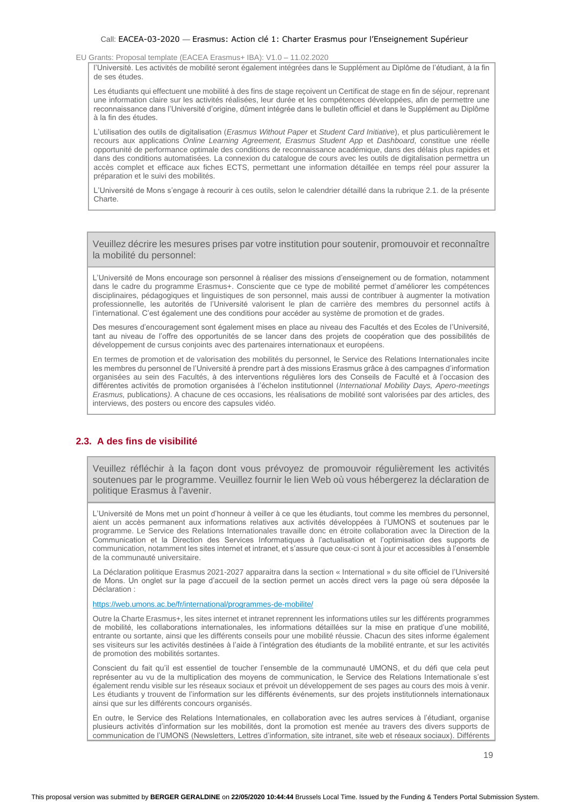l'Université. Les activités de mobilité seront également intégrées dans le Supplément au Diplôme de l'étudiant, à la fin de ses études.

Les étudiants qui effectuent une mobilité à des fins de stage reçoivent un Certificat de stage en fin de séjour, reprenant une information claire sur les activités réalisées, leur durée et les compétences développées, afin de permettre une reconnaissance dans l'Université d'origine, dûment intégrée dans le bulletin officiel et dans le Supplément au Diplôme à la fin des études.

L'utilisation des outils de digitalisation (*Erasmus Without Paper* et *Student Card Initiative*), et plus particulièrement le recours aux applications *Online Learning Agreement, Erasmus Student App* et *Dashboard*, constitue une réelle opportunité de performance optimale des conditions de reconnaissance académique, dans des délais plus rapides et dans des conditions automatisées. La connexion du catalogue de cours avec les outils de digitalisation permettra un accès complet et efficace aux fiches ECTS, permettant une information détaillée en temps réel pour assurer la préparation et le suivi des mobilités.

L'Université de Mons s'engage à recourir à ces outils, selon le calendrier détaillé dans la rubrique 2.1. de la présente Charte.

Veuillez décrire les mesures prises par votre institution pour soutenir, promouvoir et reconnaître la mobilité du personnel:

L'Université de Mons encourage son personnel à réaliser des missions d'enseignement ou de formation, notamment dans le cadre du programme Erasmus+. Consciente que ce type de mobilité permet d'améliorer les compétences disciplinaires, pédagogiques et linguistiques de son personnel, mais aussi de contribuer à augmenter la motivation professionnelle, les autorités de l'Université valorisent le plan de carrière des membres du personnel actifs à l'international. C'est également une des conditions pour accéder au système de promotion et de grades.

Des mesures d'encouragement sont également mises en place au niveau des Facultés et des Ecoles de l'Université, tant au niveau de l'offre des opportunités de se lancer dans des projets de coopération que des possibilités de développement de cursus conjoints avec des partenaires internationaux et européens.

En termes de promotion et de valorisation des mobilités du personnel, le Service des Relations Internationales incite les membres du personnel de l'Université à prendre part à des missions Erasmus grâce à des campagnes d'information organisées au sein des Facultés, à des interventions régulières lors des Conseils de Faculté et à l'occasion des différentes activités de promotion organisées à l'échelon institutionnel (*International Mobility Days, Apero-meetings Erasmus,* publications*)*. A chacune de ces occasions, les réalisations de mobilité sont valorisées par des articles, des interviews, des posters ou encore des capsules vidéo.

## <span id="page-27-0"></span>**2.3. A des fins de visibilité**

Veuillez réfléchir à la façon dont vous prévoyez de promouvoir régulièrement les activités soutenues par le programme. Veuillez fournir le lien Web où vous hébergerez la déclaration de politique Erasmus à l'avenir.

L'Université de Mons met un point d'honneur à veiller à ce que les étudiants, tout comme les membres du personnel, aient un accès permanent aux informations relatives aux activités développées à l'UMONS et soutenues par le programme. Le Service des Relations Internationales travaille donc en étroite collaboration avec la Direction de la Communication et la Direction des Services Informatiques à l'actualisation et l'optimisation des supports de communication, notamment les sites internet et intranet, et s'assure que ceux-ci sont à jour et accessibles à l'ensemble de la communauté universitaire.

La Déclaration politique Erasmus 2021-2027 apparaitra dans la section « International » du site officiel de l'Université de Mons. Un onglet sur la page d'accueil de la section permet un accès direct vers la page où sera déposée la Déclaration :

<https://web.umons.ac.be/fr/international/programmes-de-mobilite/>

Outre la Charte Erasmus+, les sites internet et intranet reprennent les informations utiles sur les différents programmes de mobilité, les collaborations internationales, les informations détaillées sur la mise en pratique d'une mobilité, entrante ou sortante, ainsi que les différents conseils pour une mobilité réussie. Chacun des sites informe également ses visiteurs sur les activités destinées à l'aide à l'intégration des étudiants de la mobilité entrante, et sur les activités de promotion des mobilités sortantes.

Conscient du fait qu'il est essentiel de toucher l'ensemble de la communauté UMONS, et du défi que cela peut représenter au vu de la multiplication des moyens de communication, le Service des Relations Internationale s'est également rendu visible sur les réseaux sociaux et prévoit un développement de ses pages au cours des mois à venir. Les étudiants y trouvent de l'information sur les différents événements, sur des projets institutionnels internationaux ainsi que sur les différents concours organisés.

En outre, le Service des Relations Internationales, en collaboration avec les autres services à l'étudiant, organise plusieurs activités d'information sur les mobilités, dont la promotion est menée au travers des divers supports de communication de l'UMONS (Newsletters, Lettres d'information, site intranet, site web et réseaux sociaux). Différents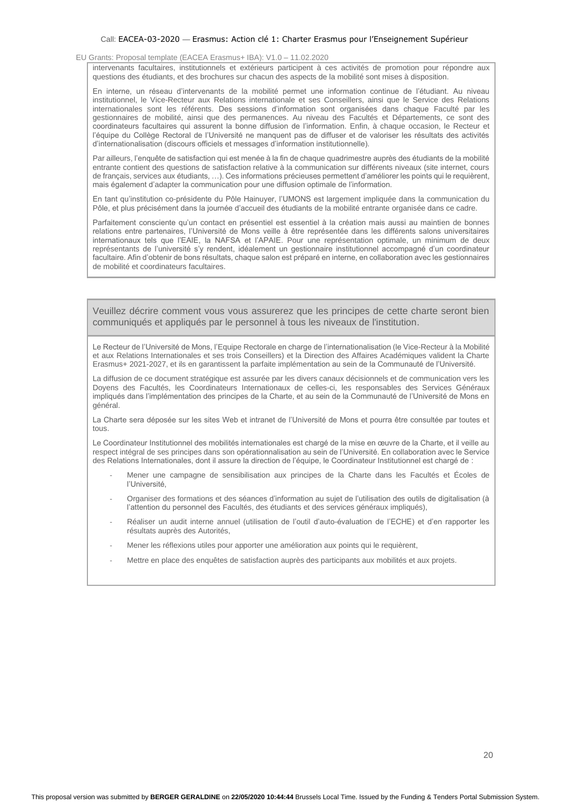EU Grants: Proposal template (EACEA Erasmus+ IBA): V1.0 – 11.02.2020

intervenants facultaires, institutionnels et extérieurs participent à ces activités de promotion pour répondre aux questions des étudiants, et des brochures sur chacun des aspects de la mobilité sont mises à disposition.

En interne, un réseau d'intervenants de la mobilité permet une information continue de l'étudiant. Au niveau institutionnel, le Vice-Recteur aux Relations internationale et ses Conseillers, ainsi que le Service des Relations internationales sont les référents. Des sessions d'information sont organisées dans chaque Faculté par les gestionnaires de mobilité, ainsi que des permanences. Au niveau des Facultés et Départements, ce sont des coordinateurs facultaires qui assurent la bonne diffusion de l'information. Enfin, à chaque occasion, le Recteur et l'équipe du Collège Rectoral de l'Université ne manquent pas de diffuser et de valoriser les résultats des activités d'internationalisation (discours officiels et messages d'information institutionnelle).

Par ailleurs, l'enquête de satisfaction qui est menée à la fin de chaque quadrimestre auprès des étudiants de la mobilité entrante contient des questions de satisfaction relative à la communication sur différents niveaux (site internet, cours de français, services aux étudiants, …). Ces informations précieuses permettent d'améliorer les points qui le requièrent, mais également d'adapter la communication pour une diffusion optimale de l'information.

En tant qu'institution co-présidente du Pôle Hainuyer, l'UMONS est largement impliquée dans la communication du Pôle, et plus précisément dans la journée d'accueil des étudiants de la mobilité entrante organisée dans ce cadre.

Parfaitement consciente qu'un contact en présentiel est essentiel à la création mais aussi au maintien de bonnes relations entre partenaires, l'Université de Mons veille à être représentée dans les différents salons universitaires internationaux tels que l'EAIE, la NAFSA et l'APAIE. Pour une représentation optimale, un minimum de deux représentants de l'université s'y rendent, idéalement un gestionnaire institutionnel accompagné d'un coordinateur facultaire. Afin d'obtenir de bons résultats, chaque salon est préparé en interne, en collaboration avec les gestionnaires de mobilité et coordinateurs facultaires.

Veuillez décrire comment vous vous assurerez que les principes de cette charte seront bien communiqués et appliqués par le personnel à tous les niveaux de l'institution.

Le Recteur de l'Université de Mons, l'Equipe Rectorale en charge de l'internationalisation (le Vice-Recteur à la Mobilité et aux Relations Internationales et ses trois Conseillers) et la Direction des Affaires Académiques valident la Charte Erasmus+ 2021-2027, et ils en garantissent la parfaite implémentation au sein de la Communauté de l'Université.

La diffusion de ce document stratégique est assurée par les divers canaux décisionnels et de communication vers les Doyens des Facultés, les Coordinateurs Internationaux de celles-ci, les responsables des Services Généraux impliqués dans l'implémentation des principes de la Charte, et au sein de la Communauté de l'Université de Mons en général.

La Charte sera déposée sur les sites Web et intranet de l'Université de Mons et pourra être consultée par toutes et tous.

Le Coordinateur Institutionnel des mobilités internationales est chargé de la mise en œuvre de la Charte, et il veille au respect intégral de ses principes dans son opérationnalisation au sein de l'Université. En collaboration avec le Service des Relations Internationales, dont il assure la direction de l'équipe, le Coordinateur Institutionnel est chargé de :

- Mener une campagne de sensibilisation aux principes de la Charte dans les Facultés et Écoles de l'Université,
- Organiser des formations et des séances d'information au sujet de l'utilisation des outils de digitalisation (à l'attention du personnel des Facultés, des étudiants et des services généraux impliqués),
- Réaliser un audit interne annuel (utilisation de l'outil d'auto-évaluation de l'ECHE) et d'en rapporter les résultats auprès des Autorités,
- Mener les réflexions utiles pour apporter une amélioration aux points qui le requièrent,
- Mettre en place des enquêtes de satisfaction auprès des participants aux mobilités et aux projets.